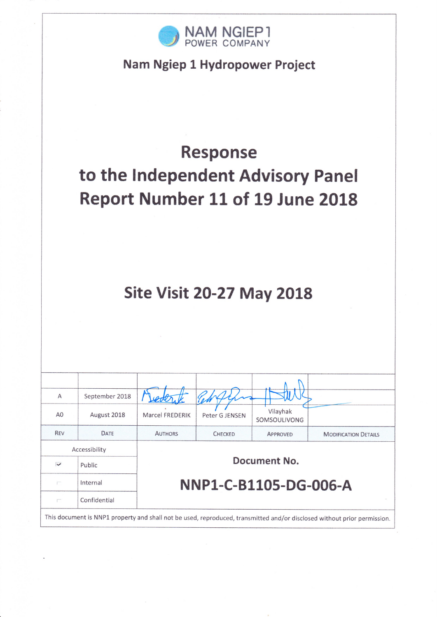

# Nam Ngiep 1 Hydropower Project

# **Response** to the Independent Advisory Panel Report Number 11 of 19 June 2018

# **Site Visit 20-27 May 2018**

| A                         | September 2018                                                                                                           |                       |                |                          |                             |  |  |
|---------------------------|--------------------------------------------------------------------------------------------------------------------------|-----------------------|----------------|--------------------------|-----------------------------|--|--|
| A <sub>0</sub>            | August 2018                                                                                                              | Marcel FREDERIK       | Peter G JENSEN | Vilayhak<br>SOMSOULIVONG |                             |  |  |
| REV                       | DATE                                                                                                                     | <b>AUTHORS</b>        | <b>CHECKED</b> | APPROVED                 | <b>MODIFICATION DETAILS</b> |  |  |
| Accessibility             |                                                                                                                          |                       |                |                          |                             |  |  |
| $\overline{\phantom{0}}$  | Public                                                                                                                   |                       |                | Document No.             |                             |  |  |
| $\int_{0}^{\infty}$       | Internal                                                                                                                 | NNP1-C-B1105-DG-006-A |                |                          |                             |  |  |
| $\int_{-\infty}^{\infty}$ | Confidential                                                                                                             |                       |                |                          |                             |  |  |
|                           | This document is NNP1 property and shall not be used, reproduced, transmitted and/or disclosed without prior permission. |                       |                |                          |                             |  |  |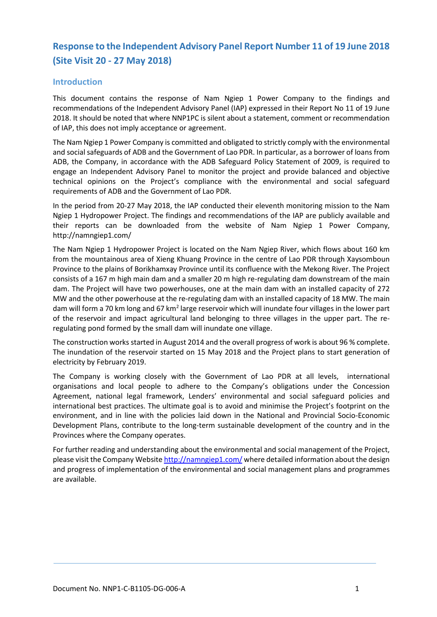# **Response to the Independent Advisory Panel Report Number 11 of 19 June 2018 (Site Visit 20 - 27 May 2018)**

#### **Introduction**

This document contains the response of Nam Ngiep 1 Power Company to the findings and recommendations of the Independent Advisory Panel (IAP) expressed in their Report No 11 of 19 June 2018. It should be noted that where NNP1PC is silent about a statement, comment or recommendation of IAP, this does not imply acceptance or agreement.

The Nam Ngiep 1 Power Company is committed and obligated to strictly comply with the environmental and social safeguards of ADB and the Government of Lao PDR. In particular, as a borrower of loans from ADB, the Company, in accordance with the ADB Safeguard Policy Statement of 2009, is required to engage an Independent Advisory Panel to monitor the project and provide balanced and objective technical opinions on the Project's compliance with the environmental and social safeguard requirements of ADB and the Government of Lao PDR.

In the period from 20-27 May 2018, the IAP conducted their eleventh monitoring mission to the Nam Ngiep 1 Hydropower Project. The findings and recommendations of the IAP are publicly available and their reports can be downloaded from the website of Nam Ngiep 1 Power Company, http://namngiep1.com/

The Nam Ngiep 1 Hydropower Project is located on the Nam Ngiep River, which flows about 160 km from the mountainous area of Xieng Khuang Province in the centre of Lao PDR through Xaysomboun Province to the plains of Borikhamxay Province until its confluence with the Mekong River. The Project consists of a 167 m high main dam and a smaller 20 m high re-regulating dam downstream of the main dam. The Project will have two powerhouses, one at the main dam with an installed capacity of 272 MW and the other powerhouse at the re-regulating dam with an installed capacity of 18 MW. The main dam will form a 70 km long and 67 km<sup>2</sup> large reservoir which will inundate four villages in the lower part of the reservoir and impact agricultural land belonging to three villages in the upper part. The reregulating pond formed by the small dam will inundate one village.

The construction works started in August 2014 and the overall progress of work is about 96 % complete. The inundation of the reservoir started on 15 May 2018 and the Project plans to start generation of electricity by February 2019.

The Company is working closely with the Government of Lao PDR at all levels, international organisations and local people to adhere to the Company's obligations under the Concession Agreement, national legal framework, Lenders' environmental and social safeguard policies and international best practices. The ultimate goal is to avoid and minimise the Project's footprint on the environment, and in line with the policies laid down in the National and Provincial Socio-Economic Development Plans, contribute to the long-term sustainable development of the country and in the Provinces where the Company operates.

For further reading and understanding about the environmental and social management of the Project, please visit the Company Websit[e http://namngiep1.com/](http://namngiep1.com/) where detailed information about the design and progress of implementation of the environmental and social management plans and programmes are available.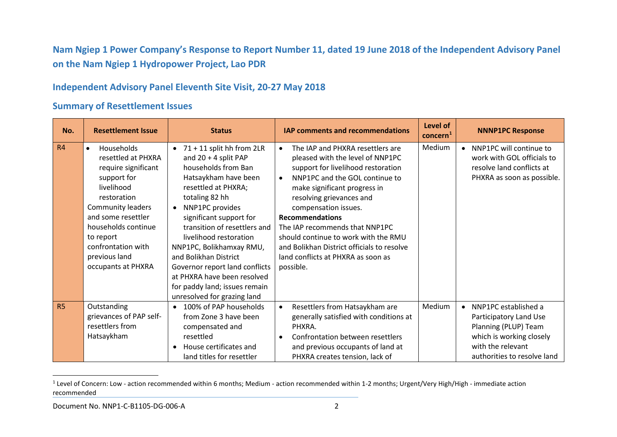<span id="page-2-0"></span>**Nam Ngiep 1 Power Company's Response to Report Number 11, dated 19 June 2018 of the Independent Advisory Panel on the Nam Ngiep 1 Hydropower Project, Lao PDR**

### **Independent Advisory Panel Eleventh Site Visit, 20-27 May 2018**

#### **Summary of Resettlement Issues**

| No.       | <b>Resettlement Issue</b>                                                                                                                                                                                                                                           | <b>Status</b>                                                                                                                                                                                                                                                                                                                                                                                                                                       | IAP comments and recommendations                                                                                                                                                                                                                                                                                                                                                                                                                                | Level of<br>concern <sup>1</sup> | <b>NNNP1PC Response</b>                                                                                                                                  |
|-----------|---------------------------------------------------------------------------------------------------------------------------------------------------------------------------------------------------------------------------------------------------------------------|-----------------------------------------------------------------------------------------------------------------------------------------------------------------------------------------------------------------------------------------------------------------------------------------------------------------------------------------------------------------------------------------------------------------------------------------------------|-----------------------------------------------------------------------------------------------------------------------------------------------------------------------------------------------------------------------------------------------------------------------------------------------------------------------------------------------------------------------------------------------------------------------------------------------------------------|----------------------------------|----------------------------------------------------------------------------------------------------------------------------------------------------------|
| R4        | Households<br>$\bullet$<br>resettled at PHXRA<br>require significant<br>support for<br>livelihood<br>restoration<br><b>Community leaders</b><br>and some resettler<br>households continue<br>to report<br>confrontation with<br>previous land<br>occupants at PHXRA | $\bullet$ 71 + 11 split hh from 2LR<br>and $20 + 4$ split PAP<br>households from Ban<br>Hatsaykham have been<br>resettled at PHXRA;<br>totaling 82 hh<br>NNP1PC provides<br>significant support for<br>transition of resettlers and<br>livelihood restoration<br>NNP1PC, Bolikhamxay RMU,<br>and Bolikhan District<br>Governor report land conflicts<br>at PHXRA have been resolved<br>for paddy land; issues remain<br>unresolved for grazing land | The IAP and PHXRA resettlers are<br>$\bullet$<br>pleased with the level of NNP1PC<br>support for livelihood restoration<br>NNP1PC and the GOL continue to<br>$\bullet$<br>make significant progress in<br>resolving grievances and<br>compensation issues.<br><b>Recommendations</b><br>The IAP recommends that NNP1PC<br>should continue to work with the RMU<br>and Bolikhan District officials to resolve<br>land conflicts at PHXRA as soon as<br>possible. | Medium                           | • NNP1PC will continue to<br>work with GOL officials to<br>resolve land conflicts at<br>PHXRA as soon as possible.                                       |
| <b>R5</b> | Outstanding<br>grievances of PAP self-<br>resettlers from<br>Hatsaykham                                                                                                                                                                                             | • 100% of PAP households<br>from Zone 3 have been<br>compensated and<br>resettled<br>House certificates and<br>$\bullet$<br>land titles for resettler                                                                                                                                                                                                                                                                                               | Resettlers from Hatsaykham are<br>$\bullet$<br>generally satisfied with conditions at<br>PHXRA.<br>Confrontation between resettlers<br>$\bullet$<br>and previous occupants of land at<br>PHXRA creates tension, lack of                                                                                                                                                                                                                                         | Medium                           | • NNP1PC established a<br>Participatory Land Use<br>Planning (PLUP) Team<br>which is working closely<br>with the relevant<br>authorities to resolve land |

 $1$  Level of Concern: Low - action recommended within 6 months; Medium - action recommended within 1-2 months; Urgent/Very High/High - immediate action recommended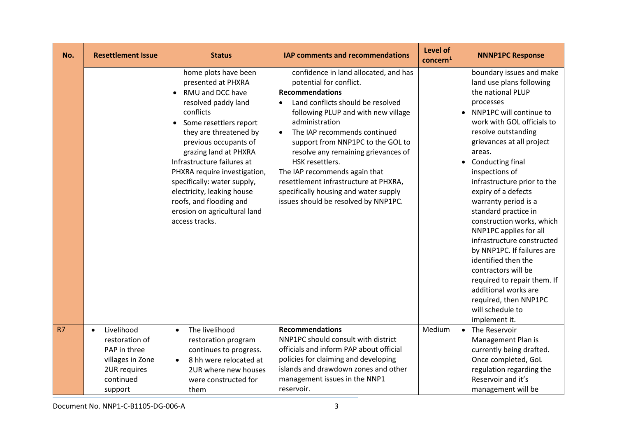| No. | <b>Resettlement Issue</b>                                                                                | <b>Status</b>                                                                                                                                                                                                                                                                                                                                                                                                      | <b>IAP comments and recommendations</b>                                                                                                                                                                                                                                                                                                                                                                                                                                                                      | Level of<br>concern <sup>1</sup> | <b>NNNP1PC Response</b>                                                                                                                                                                                                                                                                                                                                                                                                                                                                                                                                                                                                                             |
|-----|----------------------------------------------------------------------------------------------------------|--------------------------------------------------------------------------------------------------------------------------------------------------------------------------------------------------------------------------------------------------------------------------------------------------------------------------------------------------------------------------------------------------------------------|--------------------------------------------------------------------------------------------------------------------------------------------------------------------------------------------------------------------------------------------------------------------------------------------------------------------------------------------------------------------------------------------------------------------------------------------------------------------------------------------------------------|----------------------------------|-----------------------------------------------------------------------------------------------------------------------------------------------------------------------------------------------------------------------------------------------------------------------------------------------------------------------------------------------------------------------------------------------------------------------------------------------------------------------------------------------------------------------------------------------------------------------------------------------------------------------------------------------------|
|     |                                                                                                          | home plots have been<br>presented at PHXRA<br>• RMU and DCC have<br>resolved paddy land<br>conflicts<br>Some resettlers report<br>they are threatened by<br>previous occupants of<br>grazing land at PHXRA<br>Infrastructure failures at<br>PHXRA require investigation,<br>specifically: water supply,<br>electricity, leaking house<br>roofs, and flooding and<br>erosion on agricultural land<br>access tracks. | confidence in land allocated, and has<br>potential for conflict.<br><b>Recommendations</b><br>Land conflicts should be resolved<br>$\bullet$<br>following PLUP and with new village<br>administration<br>The IAP recommends continued<br>$\bullet$<br>support from NNP1PC to the GOL to<br>resolve any remaining grievances of<br>HSK resettlers.<br>The IAP recommends again that<br>resettlement infrastructure at PHXRA,<br>specifically housing and water supply<br>issues should be resolved by NNP1PC. |                                  | boundary issues and make<br>land use plans following<br>the national PLUP<br>processes<br>• NNP1PC will continue to<br>work with GOL officials to<br>resolve outstanding<br>grievances at all project<br>areas.<br>• Conducting final<br>inspections of<br>infrastructure prior to the<br>expiry of a defects<br>warranty period is a<br>standard practice in<br>construction works, which<br>NNP1PC applies for all<br>infrastructure constructed<br>by NNP1PC. If failures are<br>identified then the<br>contractors will be<br>required to repair them. If<br>additional works are<br>required, then NNP1PC<br>will schedule to<br>implement it. |
| R7  | Livelihood<br>restoration of<br>PAP in three<br>villages in Zone<br>2UR requires<br>continued<br>support | The livelihood<br>$\bullet$<br>restoration program<br>continues to progress.<br>8 hh were relocated at<br>$\bullet$<br>2UR where new houses<br>were constructed for<br>them                                                                                                                                                                                                                                        | <b>Recommendations</b><br>NNP1PC should consult with district<br>officials and inform PAP about official<br>policies for claiming and developing<br>islands and drawdown zones and other<br>management issues in the NNP1<br>reservoir.                                                                                                                                                                                                                                                                      | Medium                           | • The Reservoir<br>Management Plan is<br>currently being drafted.<br>Once completed, GoL<br>regulation regarding the<br>Reservoir and it's<br>management will be                                                                                                                                                                                                                                                                                                                                                                                                                                                                                    |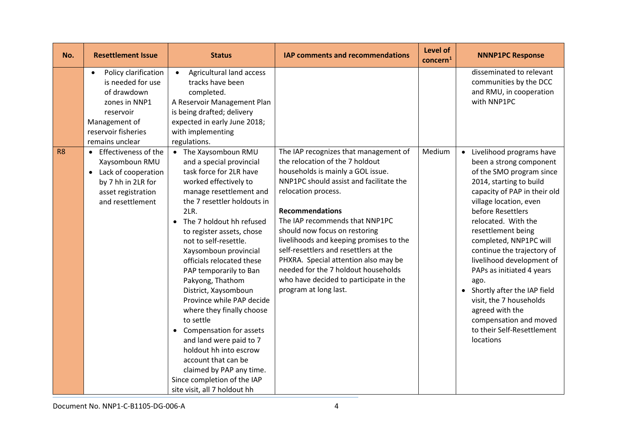| No.            | <b>Resettlement Issue</b>                                                                                                                                      | <b>Status</b>                                                                                                                                                                                                                                                                                                                                                                                                                                                                                                                                                                                                                                                     | IAP comments and recommendations                                                                                                                                                                                                                                                                                                                                                                                                                                                                                   | Level of<br>concern <sup>1</sup> | <b>NNNP1PC Response</b>                                                                                                                                                                                                                                                                                                                                                                                                                                                                                                |
|----------------|----------------------------------------------------------------------------------------------------------------------------------------------------------------|-------------------------------------------------------------------------------------------------------------------------------------------------------------------------------------------------------------------------------------------------------------------------------------------------------------------------------------------------------------------------------------------------------------------------------------------------------------------------------------------------------------------------------------------------------------------------------------------------------------------------------------------------------------------|--------------------------------------------------------------------------------------------------------------------------------------------------------------------------------------------------------------------------------------------------------------------------------------------------------------------------------------------------------------------------------------------------------------------------------------------------------------------------------------------------------------------|----------------------------------|------------------------------------------------------------------------------------------------------------------------------------------------------------------------------------------------------------------------------------------------------------------------------------------------------------------------------------------------------------------------------------------------------------------------------------------------------------------------------------------------------------------------|
|                | Policy clarification<br>$\bullet$<br>is needed for use<br>of drawdown<br>zones in NNP1<br>reservoir<br>Management of<br>reservoir fisheries<br>remains unclear | Agricultural land access<br>$\bullet$<br>tracks have been<br>completed.<br>A Reservoir Management Plan<br>is being drafted; delivery<br>expected in early June 2018;<br>with implementing<br>regulations.                                                                                                                                                                                                                                                                                                                                                                                                                                                         |                                                                                                                                                                                                                                                                                                                                                                                                                                                                                                                    |                                  | disseminated to relevant<br>communities by the DCC<br>and RMU, in cooperation<br>with NNP1PC                                                                                                                                                                                                                                                                                                                                                                                                                           |
| R <sub>8</sub> | Effectiveness of the<br>Xaysomboun RMU<br>Lack of cooperation<br>$\bullet$<br>by 7 hh in 2LR for<br>asset registration<br>and resettlement                     | • The Xaysomboun RMU<br>and a special provincial<br>task force for 2LR have<br>worked effectively to<br>manage resettlement and<br>the 7 resettler holdouts in<br>2LR.<br>• The 7 holdout hh refused<br>to register assets, chose<br>not to self-resettle.<br>Xaysomboun provincial<br>officials relocated these<br>PAP temporarily to Ban<br>Pakyong, Thathom<br>District, Xaysomboun<br>Province while PAP decide<br>where they finally choose<br>to settle<br>• Compensation for assets<br>and land were paid to 7<br>holdout hh into escrow<br>account that can be<br>claimed by PAP any time.<br>Since completion of the IAP<br>site visit, all 7 holdout hh | The IAP recognizes that management of<br>the relocation of the 7 holdout<br>households is mainly a GOL issue.<br>NNP1PC should assist and facilitate the<br>relocation process.<br><b>Recommendations</b><br>The IAP recommends that NNP1PC<br>should now focus on restoring<br>livelihoods and keeping promises to the<br>self-resettlers and resettlers at the<br>PHXRA. Special attention also may be<br>needed for the 7 holdout households<br>who have decided to participate in the<br>program at long last. | Medium                           | • Livelihood programs have<br>been a strong component<br>of the SMO program since<br>2014, starting to build<br>capacity of PAP in their old<br>village location, even<br>before Resettlers<br>relocated. With the<br>resettlement being<br>completed, NNP1PC will<br>continue the trajectory of<br>livelihood development of<br>PAPs as initiated 4 years<br>ago.<br>• Shortly after the IAP field<br>visit, the 7 households<br>agreed with the<br>compensation and moved<br>to their Self-Resettlement<br>locations |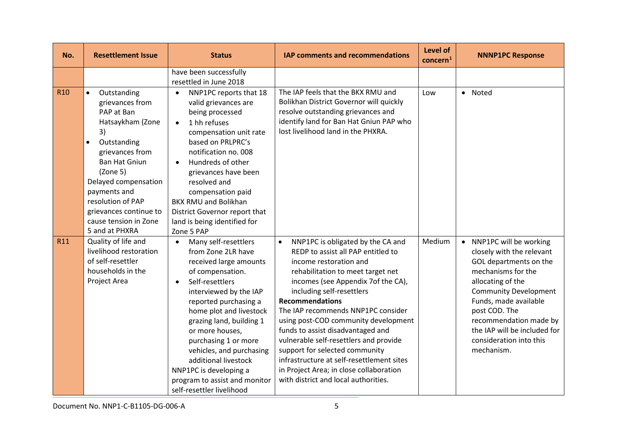| No.        | <b>Resettlement Issue</b>                                                                                                                                                                                                                                                                                | <b>Status</b>                                                                                                                                                                                                                                                                                                                                                                                                                          | IAP comments and recommendations                                                                                                                                                                                                                                                                                                                                                                                                                                                                                                                                                | Level of<br>concern <sup>1</sup> | <b>NNNP1PC Response</b>                                                                                                                                                                                                                                                                                 |
|------------|----------------------------------------------------------------------------------------------------------------------------------------------------------------------------------------------------------------------------------------------------------------------------------------------------------|----------------------------------------------------------------------------------------------------------------------------------------------------------------------------------------------------------------------------------------------------------------------------------------------------------------------------------------------------------------------------------------------------------------------------------------|---------------------------------------------------------------------------------------------------------------------------------------------------------------------------------------------------------------------------------------------------------------------------------------------------------------------------------------------------------------------------------------------------------------------------------------------------------------------------------------------------------------------------------------------------------------------------------|----------------------------------|---------------------------------------------------------------------------------------------------------------------------------------------------------------------------------------------------------------------------------------------------------------------------------------------------------|
|            |                                                                                                                                                                                                                                                                                                          | have been successfully<br>resettled in June 2018                                                                                                                                                                                                                                                                                                                                                                                       |                                                                                                                                                                                                                                                                                                                                                                                                                                                                                                                                                                                 |                                  |                                                                                                                                                                                                                                                                                                         |
| <b>R10</b> | Outstanding<br>$\bullet$<br>grievances from<br>PAP at Ban<br>Hatsaykham (Zone<br>3)<br>Outstanding<br>$\bullet$<br>grievances from<br><b>Ban Hat Gniun</b><br>(Zone 5)<br>Delayed compensation<br>payments and<br>resolution of PAP<br>grievances continue to<br>cause tension in Zone<br>5 and at PHXRA | NNP1PC reports that 18<br>$\bullet$<br>valid grievances are<br>being processed<br>1 hh refuses<br>$\bullet$<br>compensation unit rate<br>based on PRLPRC's<br>notification no. 008<br>Hundreds of other<br>$\bullet$<br>grievances have been<br>resolved and<br>compensation paid<br><b>BKX RMU and Bolikhan</b><br>District Governor report that<br>land is being identified for<br>Zone 5 PAP                                        | The IAP feels that the BKX RMU and<br>Bolikhan District Governor will quickly<br>resolve outstanding grievances and<br>identify land for Ban Hat Gniun PAP who<br>lost livelihood land in the PHXRA.                                                                                                                                                                                                                                                                                                                                                                            | Low                              | • Noted                                                                                                                                                                                                                                                                                                 |
| R11        | Quality of life and<br>livelihood restoration<br>of self-resettler<br>households in the<br>Project Area                                                                                                                                                                                                  | Many self-resettlers<br>$\bullet$<br>from Zone 2LR have<br>received large amounts<br>of compensation.<br>Self-resettlers<br>$\bullet$<br>interviewed by the IAP<br>reported purchasing a<br>home plot and livestock<br>grazing land, building 1<br>or more houses,<br>purchasing 1 or more<br>vehicles, and purchasing<br>additional livestock<br>NNP1PC is developing a<br>program to assist and monitor<br>self-resettler livelihood | NNP1PC is obligated by the CA and<br>$\bullet$<br>REDP to assist all PAP entitled to<br>income restoration and<br>rehabilitation to meet target net<br>incomes (see Appendix 7of the CA),<br>including self-resettlers<br><b>Recommendations</b><br>The IAP recommends NNP1PC consider<br>using post-COD community development<br>funds to assist disadvantaged and<br>vulnerable self-resettlers and provide<br>support for selected community<br>infrastructure at self-resettlement sites<br>in Project Area; in close collaboration<br>with district and local authorities. | Medium                           | • NNP1PC will be working<br>closely with the relevant<br>GOL departments on the<br>mechanisms for the<br>allocating of the<br><b>Community Development</b><br>Funds, made available<br>post COD. The<br>recommendation made by<br>the IAP will be included for<br>consideration into this<br>mechanism. |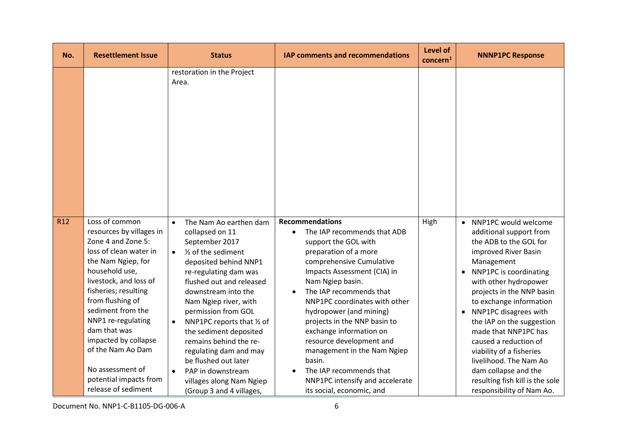| No.             | <b>Resettlement Issue</b>                                                                                                                                                                                                                                                                                                                                                             | <b>Status</b>                                                                                                                                                                                                                                                                                                                                                                                                                                                                     | IAP comments and recommendations                                                                                                                                                                                                                                                                                                                                                                                                                                                                        | Level of<br>concern <sup>1</sup> | <b>NNNP1PC Response</b>                                                                                                                                                                                                                                                                                                                                                                                                                                                               |
|-----------------|---------------------------------------------------------------------------------------------------------------------------------------------------------------------------------------------------------------------------------------------------------------------------------------------------------------------------------------------------------------------------------------|-----------------------------------------------------------------------------------------------------------------------------------------------------------------------------------------------------------------------------------------------------------------------------------------------------------------------------------------------------------------------------------------------------------------------------------------------------------------------------------|---------------------------------------------------------------------------------------------------------------------------------------------------------------------------------------------------------------------------------------------------------------------------------------------------------------------------------------------------------------------------------------------------------------------------------------------------------------------------------------------------------|----------------------------------|---------------------------------------------------------------------------------------------------------------------------------------------------------------------------------------------------------------------------------------------------------------------------------------------------------------------------------------------------------------------------------------------------------------------------------------------------------------------------------------|
|                 |                                                                                                                                                                                                                                                                                                                                                                                       | restoration in the Project<br>Area.                                                                                                                                                                                                                                                                                                                                                                                                                                               |                                                                                                                                                                                                                                                                                                                                                                                                                                                                                                         |                                  |                                                                                                                                                                                                                                                                                                                                                                                                                                                                                       |
| R <sub>12</sub> | Loss of common<br>resources by villages in<br>Zone 4 and Zone 5:<br>loss of clean water in<br>the Nam Ngiep, for<br>household use,<br>livestock, and loss of<br>fisheries; resulting<br>from flushing of<br>sediment from the<br>NNP1 re-regulating<br>dam that was<br>impacted by collapse<br>of the Nam Ao Dam<br>No assessment of<br>potential impacts from<br>release of sediment | The Nam Ao earthen dam<br>collapsed on 11<br>September 2017<br>1/ <sub>2</sub> of the sediment<br>$\bullet$<br>deposited behind NNP1<br>re-regulating dam was<br>flushed out and released<br>downstream into the<br>Nam Ngiep river, with<br>permission from GOL<br>NNP1PC reports that 1/2 of<br>the sediment deposited<br>remains behind the re-<br>regulating dam and may<br>be flushed out later<br>PAP in downstream<br>villages along Nam Ngiep<br>(Group 3 and 4 villages, | <b>Recommendations</b><br>The IAP recommends that ADB<br>support the GOL with<br>preparation of a more<br>comprehensive Cumulative<br>Impacts Assessment (CIA) in<br>Nam Ngiep basin.<br>The IAP recommends that<br>NNP1PC coordinates with other<br>hydropower (and mining)<br>projects in the NNP basin to<br>exchange information on<br>resource development and<br>management in the Nam Ngiep<br>basin.<br>The IAP recommends that<br>NNP1PC intensify and accelerate<br>its social, economic, and | High                             | • NNP1PC would welcome<br>additional support from<br>the ADB to the GOL for<br>improved River Basin<br>Management<br>• NNP1PC is coordinating<br>with other hydropower<br>projects in the NNP basin<br>to exchange information<br>• NNP1PC disagrees with<br>the IAP on the suggestion<br>made that NNP1PC has<br>caused a reduction of<br>viability of a fisheries<br>livelihood. The Nam Ao<br>dam collapse and the<br>resulting fish kill is the sole<br>responsibility of Nam Ao. |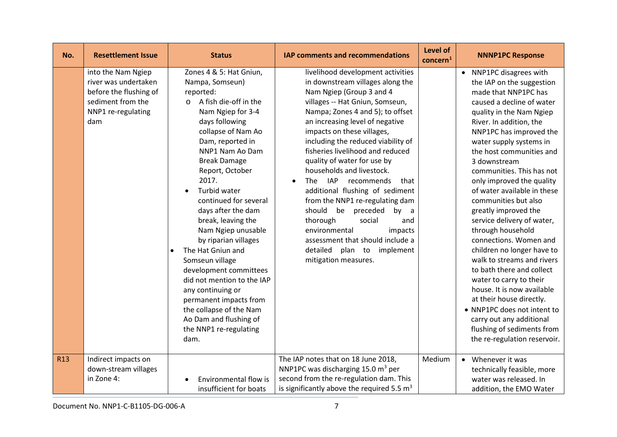| No.        | <b>Resettlement Issue</b>                                                                                              | <b>Status</b>                                                                                                                                                                                                                                                                                                                                                                                                                                                                                                                                                                                                                                         | <b>IAP comments and recommendations</b>                                                                                                                                                                                                                                                                                                                                                                                                                                                                                                                                                                                                                                                 | <b>Level of</b><br>concern <sup>1</sup> | <b>NNNP1PC Response</b>                                                                                                                                                                                                                                                                                                                                                                                                                                                                                                                                                                                                                                                                                                                                                                         |
|------------|------------------------------------------------------------------------------------------------------------------------|-------------------------------------------------------------------------------------------------------------------------------------------------------------------------------------------------------------------------------------------------------------------------------------------------------------------------------------------------------------------------------------------------------------------------------------------------------------------------------------------------------------------------------------------------------------------------------------------------------------------------------------------------------|-----------------------------------------------------------------------------------------------------------------------------------------------------------------------------------------------------------------------------------------------------------------------------------------------------------------------------------------------------------------------------------------------------------------------------------------------------------------------------------------------------------------------------------------------------------------------------------------------------------------------------------------------------------------------------------------|-----------------------------------------|-------------------------------------------------------------------------------------------------------------------------------------------------------------------------------------------------------------------------------------------------------------------------------------------------------------------------------------------------------------------------------------------------------------------------------------------------------------------------------------------------------------------------------------------------------------------------------------------------------------------------------------------------------------------------------------------------------------------------------------------------------------------------------------------------|
|            | into the Nam Ngiep<br>river was undertaken<br>before the flushing of<br>sediment from the<br>NNP1 re-regulating<br>dam | Zones 4 & 5: Hat Gniun,<br>Nampa, Somseun)<br>reported:<br>A fish die-off in the<br>$\circ$<br>Nam Ngiep for 3-4<br>days following<br>collapse of Nam Ao<br>Dam, reported in<br>NNP1 Nam Ao Dam<br><b>Break Damage</b><br>Report, October<br>2017.<br>Turbid water<br>$\bullet$<br>continued for several<br>days after the dam<br>break, leaving the<br>Nam Ngiep unusable<br>by riparian villages<br>The Hat Gniun and<br>$\bullet$<br>Somseun village<br>development committees<br>did not mention to the IAP<br>any continuing or<br>permanent impacts from<br>the collapse of the Nam<br>Ao Dam and flushing of<br>the NNP1 re-regulating<br>dam. | livelihood development activities<br>in downstream villages along the<br>Nam Ngiep (Group 3 and 4<br>villages -- Hat Gniun, Somseun,<br>Nampa; Zones 4 and 5); to offset<br>an increasing level of negative<br>impacts on these villages,<br>including the reduced viability of<br>fisheries livelihood and reduced<br>quality of water for use by<br>households and livestock.<br><b>IAP</b><br>The<br>recommends<br>that<br>additional flushing of sediment<br>from the NNP1 re-regulating dam<br>should<br>be preceded<br>by a<br>thorough<br>social<br>and<br>environmental<br>impacts<br>assessment that should include a<br>plan to implement<br>detailed<br>mitigation measures. |                                         | • NNP1PC disagrees with<br>the IAP on the suggestion<br>made that NNP1PC has<br>caused a decline of water<br>quality in the Nam Ngiep<br>River. In addition, the<br>NNP1PC has improved the<br>water supply systems in<br>the host communities and<br>3 downstream<br>communities. This has not<br>only improved the quality<br>of water available in these<br>communities but also<br>greatly improved the<br>service delivery of water,<br>through household<br>connections. Women and<br>children no longer have to<br>walk to streams and rivers<br>to bath there and collect<br>water to carry to their<br>house. It is now available<br>at their house directly.<br>• NNP1PC does not intent to<br>carry out any additional<br>flushing of sediments from<br>the re-regulation reservoir. |
| <b>R13</b> | Indirect impacts on<br>down-stream villages<br>in Zone 4:                                                              | Environmental flow is<br>insufficient for boats                                                                                                                                                                                                                                                                                                                                                                                                                                                                                                                                                                                                       | The IAP notes that on 18 June 2018,<br>NNP1PC was discharging 15.0 m <sup>3</sup> per<br>second from the re-regulation dam. This<br>is significantly above the required 5.5 $m3$                                                                                                                                                                                                                                                                                                                                                                                                                                                                                                        | Medium                                  | • Whenever it was<br>technically feasible, more<br>water was released. In<br>addition, the EMO Water                                                                                                                                                                                                                                                                                                                                                                                                                                                                                                                                                                                                                                                                                            |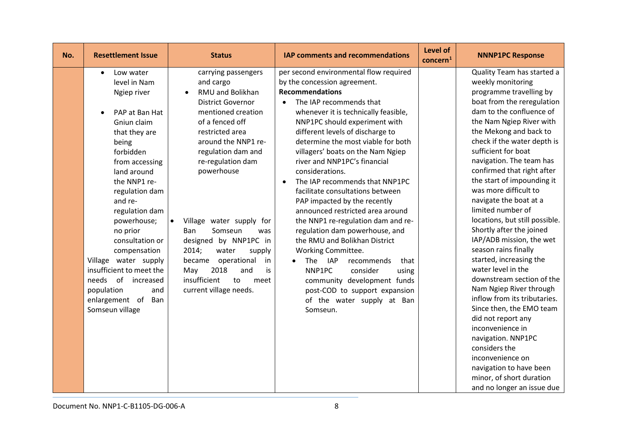| No. | <b>Resettlement Issue</b>                                                                                                                                                                                                                                                                                                                                                                                                                    | <b>Status</b>                                                                                                                                                                                                                                                                                                                                                                                                                                                                 | <b>IAP comments and recommendations</b>                                                                                                                                                                                                                                                                                                                                                                                                                                                                                                                                                                                                                                                                                                                                                                                                          | Level of<br>concern <sup>1</sup> | <b>NNNP1PC Response</b>                                                                                                                                                                                                                                                                                                                                                                                                                                                                                                                                                                                                                                                                                                                                                                                                                                                                           |
|-----|----------------------------------------------------------------------------------------------------------------------------------------------------------------------------------------------------------------------------------------------------------------------------------------------------------------------------------------------------------------------------------------------------------------------------------------------|-------------------------------------------------------------------------------------------------------------------------------------------------------------------------------------------------------------------------------------------------------------------------------------------------------------------------------------------------------------------------------------------------------------------------------------------------------------------------------|--------------------------------------------------------------------------------------------------------------------------------------------------------------------------------------------------------------------------------------------------------------------------------------------------------------------------------------------------------------------------------------------------------------------------------------------------------------------------------------------------------------------------------------------------------------------------------------------------------------------------------------------------------------------------------------------------------------------------------------------------------------------------------------------------------------------------------------------------|----------------------------------|---------------------------------------------------------------------------------------------------------------------------------------------------------------------------------------------------------------------------------------------------------------------------------------------------------------------------------------------------------------------------------------------------------------------------------------------------------------------------------------------------------------------------------------------------------------------------------------------------------------------------------------------------------------------------------------------------------------------------------------------------------------------------------------------------------------------------------------------------------------------------------------------------|
|     | Low water<br>$\bullet$<br>level in Nam<br>Ngiep river<br>PAP at Ban Hat<br>Gniun claim<br>that they are<br>being<br>forbidden<br>from accessing<br>land around<br>the NNP1 re-<br>regulation dam<br>and re-<br>regulation dam<br>powerhouse;<br>no prior<br>consultation or<br>compensation<br>Village water supply<br>insufficient to meet the<br>of<br>needs<br>increased<br>population<br>and<br>enlargement of<br>Ban<br>Somseun village | carrying passengers<br>and cargo<br><b>RMU and Bolikhan</b><br><b>District Governor</b><br>mentioned creation<br>of a fenced off<br>restricted area<br>around the NNP1 re-<br>regulation dam and<br>re-regulation dam<br>powerhouse<br>Village water supply for<br>$\bullet$<br>Somseun<br>Ban<br>was<br>designed by NNP1PC in<br>2014;<br>water<br>supply<br>became<br>operational<br>in<br>2018<br>and<br>May<br>is<br>insufficient<br>to<br>meet<br>current village needs. | per second environmental flow required<br>by the concession agreement.<br><b>Recommendations</b><br>The IAP recommends that<br>$\bullet$<br>whenever it is technically feasible,<br>NNP1PC should experiment with<br>different levels of discharge to<br>determine the most viable for both<br>villagers' boats on the Nam Ngiep<br>river and NNP1PC's financial<br>considerations.<br>The IAP recommends that NNP1PC<br>facilitate consultations between<br>PAP impacted by the recently<br>announced restricted area around<br>the NNP1 re-regulation dam and re-<br>regulation dam powerhouse, and<br>the RMU and Bolikhan District<br>Working Committee.<br><b>IAP</b><br>The<br>recommends<br>that<br>NNP1PC<br>consider<br>using<br>community development funds<br>post-COD to support expansion<br>of the water supply at Ban<br>Somseun. |                                  | Quality Team has started a<br>weekly monitoring<br>programme travelling by<br>boat from the reregulation<br>dam to the confluence of<br>the Nam Ngiep River with<br>the Mekong and back to<br>check if the water depth is<br>sufficient for boat<br>navigation. The team has<br>confirmed that right after<br>the start of impounding it<br>was more difficult to<br>navigate the boat at a<br>limited number of<br>locations, but still possible.<br>Shortly after the joined<br>IAP/ADB mission, the wet<br>season rains finally<br>started, increasing the<br>water level in the<br>downstream section of the<br>Nam Ngiep River through<br>inflow from its tributaries.<br>Since then, the EMO team<br>did not report any<br>inconvenience in<br>navigation. NNP1PC<br>considers the<br>inconvenience on<br>navigation to have been<br>minor, of short duration<br>and no longer an issue due |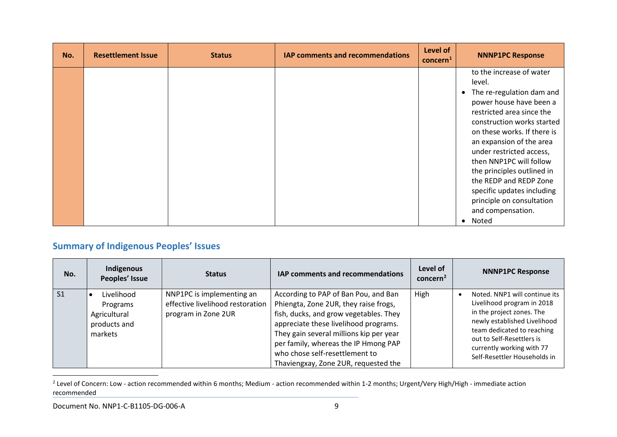<span id="page-9-0"></span>

| No. | <b>Resettlement Issue</b> | <b>Status</b> | IAP comments and recommendations | Level of<br>concern <sup>1</sup> | <b>NNNP1PC Response</b>                                                                                                                                                                                                                                                                                                                                                                                                                 |
|-----|---------------------------|---------------|----------------------------------|----------------------------------|-----------------------------------------------------------------------------------------------------------------------------------------------------------------------------------------------------------------------------------------------------------------------------------------------------------------------------------------------------------------------------------------------------------------------------------------|
|     |                           |               |                                  |                                  | to the increase of water<br>level.<br>• The re-regulation dam and<br>power house have been a<br>restricted area since the<br>construction works started<br>on these works. If there is<br>an expansion of the area<br>under restricted access,<br>then NNP1PC will follow<br>the principles outlined in<br>the REDP and REDP Zone<br>specific updates including<br>principle on consultation<br>and compensation.<br>Noted<br>$\bullet$ |

# **Summary of Indigenous Peoples' Issues**

| No.            | Indigenous<br>Peoples' Issue                                      | <b>Status</b>                                                                        | <b>IAP comments and recommendations</b>                                                                                                                                                                                                                                                                                       | Level of<br>concern <sup>2</sup> | <b>NNNP1PC Response</b>                                                                                                                                                                                                                                       |
|----------------|-------------------------------------------------------------------|--------------------------------------------------------------------------------------|-------------------------------------------------------------------------------------------------------------------------------------------------------------------------------------------------------------------------------------------------------------------------------------------------------------------------------|----------------------------------|---------------------------------------------------------------------------------------------------------------------------------------------------------------------------------------------------------------------------------------------------------------|
| S <sub>1</sub> | Livelihood<br>Programs<br>Agricultural<br>products and<br>markets | NNP1PC is implementing an<br>effective livelihood restoration<br>program in Zone 2UR | According to PAP of Ban Pou, and Ban<br>Phiengta, Zone 2UR, they raise frogs,<br>fish, ducks, and grow vegetables. They<br>appreciate these livelihood programs.<br>They gain several millions kip per year<br>per family, whereas the IP Hmong PAP<br>who chose self-resettlement to<br>Thaviengxay, Zone 2UR, requested the | High                             | Noted. NNP1 will continue its<br>$\bullet$<br>Livelihood program in 2018<br>in the project zones. The<br>newly established Livelihood<br>team dedicated to reaching<br>out to Self-Resettlers is<br>currently working with 77<br>Self-Resettler Households in |

<sup>&</sup>lt;sup>2</sup> Level of Concern: Low - action recommended within 6 months; Medium - action recommended within 1-2 months; Urgent/Very High/High - immediate action recommended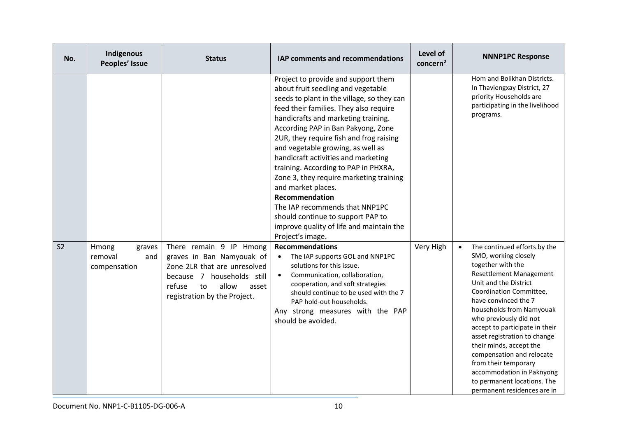| No.            | Indigenous<br>Peoples' Issue                      | <b>Status</b>                                                                                                                                                                        | IAP comments and recommendations                                                                                                                                                                                                                                                                                                                                                                                                                                                                                                                                                                                                        | Level of<br>concern <sup>2</sup> | <b>NNNP1PC Response</b>                                                                                                                                                                                                                                                                                                                                                                                                                                                                                 |
|----------------|---------------------------------------------------|--------------------------------------------------------------------------------------------------------------------------------------------------------------------------------------|-----------------------------------------------------------------------------------------------------------------------------------------------------------------------------------------------------------------------------------------------------------------------------------------------------------------------------------------------------------------------------------------------------------------------------------------------------------------------------------------------------------------------------------------------------------------------------------------------------------------------------------------|----------------------------------|---------------------------------------------------------------------------------------------------------------------------------------------------------------------------------------------------------------------------------------------------------------------------------------------------------------------------------------------------------------------------------------------------------------------------------------------------------------------------------------------------------|
|                |                                                   |                                                                                                                                                                                      | Project to provide and support them<br>about fruit seedling and vegetable<br>seeds to plant in the village, so they can<br>feed their families. They also require<br>handicrafts and marketing training.<br>According PAP in Ban Pakyong, Zone<br>2UR, they require fish and frog raising<br>and vegetable growing, as well as<br>handicraft activities and marketing<br>training. According to PAP in PHXRA,<br>Zone 3, they require marketing training<br>and market places.<br>Recommendation<br>The IAP recommends that NNP1PC<br>should continue to support PAP to<br>improve quality of life and maintain the<br>Project's image. |                                  | Hom and Bolikhan Districts.<br>In Thaviengxay District, 27<br>priority Households are<br>participating in the livelihood<br>programs.                                                                                                                                                                                                                                                                                                                                                                   |
| S <sub>2</sub> | Hmong<br>graves<br>removal<br>and<br>compensation | There remain 9 IP Hmong<br>graves in Ban Namyouak of<br>Zone 2LR that are unresolved<br>because 7 households still<br>allow<br>refuse<br>to<br>asset<br>registration by the Project. | <b>Recommendations</b><br>The IAP supports GOL and NNP1PC<br>$\bullet$<br>solutions for this issue.<br>Communication, collaboration,<br>$\bullet$<br>cooperation, and soft strategies<br>should continue to be used with the 7<br>PAP hold-out households.<br>Any strong measures with the PAP<br>should be avoided.                                                                                                                                                                                                                                                                                                                    | Very High                        | The continued efforts by the<br>$\bullet$<br>SMO, working closely<br>together with the<br><b>Resettlement Management</b><br>Unit and the District<br>Coordination Committee,<br>have convinced the 7<br>households from Namyouak<br>who previously did not<br>accept to participate in their<br>asset registration to change<br>their minds, accept the<br>compensation and relocate<br>from their temporary<br>accommodation in Paknyong<br>to permanent locations. The<br>permanent residences are in |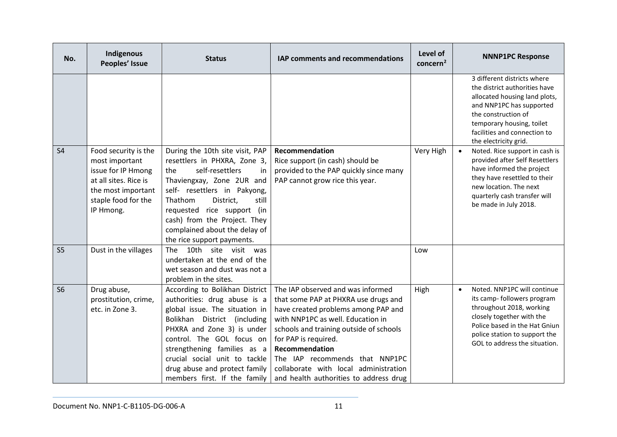| No.            | Indigenous<br>Peoples' Issue                                                                                                                    | <b>Status</b>                                                                                                                                                                                                                                                                                                                | IAP comments and recommendations                                                                                                                                                                                                                                                                                                                                | Level of<br>concern <sup>2</sup> | <b>NNNP1PC Response</b>                                                                                                                                                                                                                |
|----------------|-------------------------------------------------------------------------------------------------------------------------------------------------|------------------------------------------------------------------------------------------------------------------------------------------------------------------------------------------------------------------------------------------------------------------------------------------------------------------------------|-----------------------------------------------------------------------------------------------------------------------------------------------------------------------------------------------------------------------------------------------------------------------------------------------------------------------------------------------------------------|----------------------------------|----------------------------------------------------------------------------------------------------------------------------------------------------------------------------------------------------------------------------------------|
|                |                                                                                                                                                 |                                                                                                                                                                                                                                                                                                                              |                                                                                                                                                                                                                                                                                                                                                                 |                                  | 3 different districts where<br>the district authorities have<br>allocated housing land plots,<br>and NNP1PC has supported<br>the construction of<br>temporary housing, toilet<br>facilities and connection to<br>the electricity grid. |
| S <sub>4</sub> | Food security is the<br>most important<br>issue for IP Hmong<br>at all sites. Rice is<br>the most important<br>staple food for the<br>IP Hmong. | During the 10th site visit, PAP<br>resettlers in PHXRA, Zone 3,<br>self-resettlers<br>the<br>in<br>Thaviengxay, Zone 2UR and<br>self- resettlers in Pakyong,<br>Thathom<br>District,<br>still<br>requested rice support (in<br>cash) from the Project. They<br>complained about the delay of<br>the rice support payments.   | Recommendation<br>Rice support (in cash) should be<br>provided to the PAP quickly since many<br>PAP cannot grow rice this year.                                                                                                                                                                                                                                 | Very High                        | Noted. Rice support in cash is<br>$\bullet$<br>provided after Self Resettlers<br>have informed the project<br>they have resettled to their<br>new location. The next<br>quarterly cash transfer will<br>be made in July 2018.          |
| <b>S5</b>      | Dust in the villages                                                                                                                            | 10th site visit was<br>Thel<br>undertaken at the end of the<br>wet season and dust was not a<br>problem in the sites.                                                                                                                                                                                                        |                                                                                                                                                                                                                                                                                                                                                                 | Low                              |                                                                                                                                                                                                                                        |
| <b>S6</b>      | Drug abuse,<br>prostitution, crime,<br>etc. in Zone 3.                                                                                          | According to Bolikhan District<br>authorities: drug abuse is a<br>global issue. The situation in<br>Bolikhan District (including<br>PHXRA and Zone 3) is under<br>control. The GOL focus on<br>strengthening families as a<br>crucial social unit to tackle<br>drug abuse and protect family<br>members first. If the family | The IAP observed and was informed<br>that some PAP at PHXRA use drugs and<br>have created problems among PAP and<br>with NNP1PC as well. Education in<br>schools and training outside of schools<br>for PAP is required.<br>Recommendation<br>The IAP recommends that NNP1PC<br>collaborate with local administration<br>and health authorities to address drug | High                             | Noted. NNP1PC will continue<br>$\bullet$<br>its camp-followers program<br>throughout 2018, working<br>closely together with the<br>Police based in the Hat Gniun<br>police station to support the<br>GOL to address the situation.     |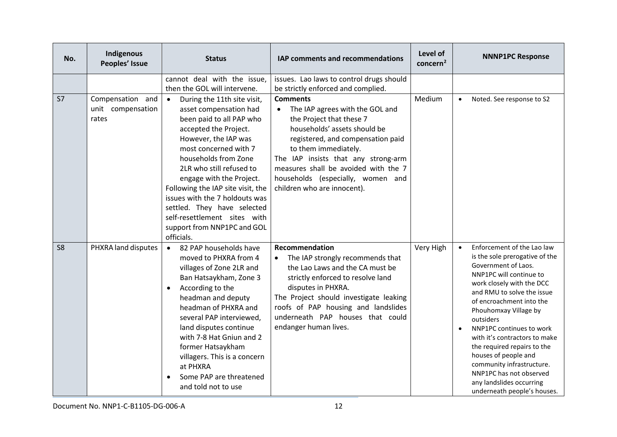| No.            | Indigenous<br>Peoples' Issue                   | <b>Status</b>                                                                                                                                                                                                                                                                                                                                                                                                                               | IAP comments and recommendations                                                                                                                                                                                                                                                                                               | Level of<br>concern <sup>2</sup> | <b>NNNP1PC Response</b>                                                                                                                                                                                                                                                                                                                                                                                                                                                                                      |
|----------------|------------------------------------------------|---------------------------------------------------------------------------------------------------------------------------------------------------------------------------------------------------------------------------------------------------------------------------------------------------------------------------------------------------------------------------------------------------------------------------------------------|--------------------------------------------------------------------------------------------------------------------------------------------------------------------------------------------------------------------------------------------------------------------------------------------------------------------------------|----------------------------------|--------------------------------------------------------------------------------------------------------------------------------------------------------------------------------------------------------------------------------------------------------------------------------------------------------------------------------------------------------------------------------------------------------------------------------------------------------------------------------------------------------------|
|                |                                                | cannot deal with the issue,<br>then the GOL will intervene.                                                                                                                                                                                                                                                                                                                                                                                 | issues. Lao laws to control drugs should<br>be strictly enforced and complied.                                                                                                                                                                                                                                                 |                                  |                                                                                                                                                                                                                                                                                                                                                                                                                                                                                                              |
| S7             | Compensation and<br>unit compensation<br>rates | During the 11th site visit,<br>$\bullet$<br>asset compensation had<br>been paid to all PAP who<br>accepted the Project.<br>However, the IAP was<br>most concerned with 7<br>households from Zone<br>2LR who still refused to<br>engage with the Project.<br>Following the IAP site visit, the<br>issues with the 7 holdouts was<br>settled. They have selected<br>self-resettlement sites with<br>support from NNP1PC and GOL<br>officials. | <b>Comments</b><br>The IAP agrees with the GOL and<br>the Project that these 7<br>households' assets should be<br>registered, and compensation paid<br>to them immediately.<br>The IAP insists that any strong-arm<br>measures shall be avoided with the 7<br>households (especially, women and<br>children who are innocent). | Medium                           | Noted. See response to S2<br>$\bullet$                                                                                                                                                                                                                                                                                                                                                                                                                                                                       |
| S <sub>8</sub> | PHXRA land disputes                            | 82 PAP households have<br>$\bullet$<br>moved to PHXRA from 4<br>villages of Zone 2LR and<br>Ban Hatsaykham, Zone 3<br>According to the<br>$\bullet$<br>headman and deputy<br>headman of PHXRA and<br>several PAP interviewed,<br>land disputes continue<br>with 7-8 Hat Gniun and 2<br>former Hatsaykham<br>villagers. This is a concern<br>at PHXRA<br>Some PAP are threatened<br>and told not to use                                      | Recommendation<br>The IAP strongly recommends that<br>$\bullet$<br>the Lao Laws and the CA must be<br>strictly enforced to resolve land<br>disputes in PHXRA.<br>The Project should investigate leaking<br>roofs of PAP housing and landslides<br>underneath PAP houses that could<br>endanger human lives.                    | Very High                        | Enforcement of the Lao law<br>$\bullet$<br>is the sole prerogative of the<br>Government of Laos.<br>NNP1PC will continue to<br>work closely with the DCC<br>and RMU to solve the issue<br>of encroachment into the<br>Phouhomxay Village by<br>outsiders<br>NNP1PC continues to work<br>$\bullet$<br>with it's contractors to make<br>the required repairs to the<br>houses of people and<br>community infrastructure.<br>NNP1PC has not observed<br>any landslides occurring<br>underneath people's houses. |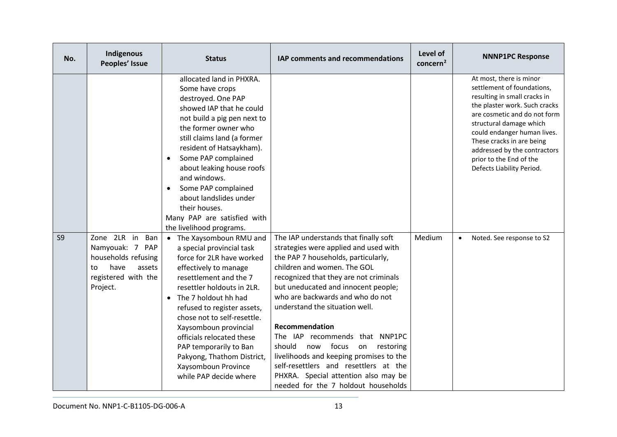| No.            | Indigenous<br>Peoples' Issue                                                                                            | <b>Status</b>                                                                                                                                                                                                                                                                                                                                                                                                                              | IAP comments and recommendations                                                                                                                                                                                                                                                                                                                                                                                                                                                                                                                                                | Level of<br>concern <sup>2</sup> | <b>NNNP1PC Response</b>                                                                                                                                                                                                                                                                                                               |
|----------------|-------------------------------------------------------------------------------------------------------------------------|--------------------------------------------------------------------------------------------------------------------------------------------------------------------------------------------------------------------------------------------------------------------------------------------------------------------------------------------------------------------------------------------------------------------------------------------|---------------------------------------------------------------------------------------------------------------------------------------------------------------------------------------------------------------------------------------------------------------------------------------------------------------------------------------------------------------------------------------------------------------------------------------------------------------------------------------------------------------------------------------------------------------------------------|----------------------------------|---------------------------------------------------------------------------------------------------------------------------------------------------------------------------------------------------------------------------------------------------------------------------------------------------------------------------------------|
|                |                                                                                                                         | allocated land in PHXRA.<br>Some have crops<br>destroyed. One PAP<br>showed IAP that he could<br>not build a pig pen next to<br>the former owner who<br>still claims land (a former<br>resident of Hatsaykham).<br>Some PAP complained<br>$\bullet$<br>about leaking house roofs<br>and windows.<br>Some PAP complained<br>$\bullet$<br>about landslides under<br>their houses.<br>Many PAP are satisfied with<br>the livelihood programs. |                                                                                                                                                                                                                                                                                                                                                                                                                                                                                                                                                                                 |                                  | At most, there is minor<br>settlement of foundations,<br>resulting in small cracks in<br>the plaster work. Such cracks<br>are cosmetic and do not form<br>structural damage which<br>could endanger human lives.<br>These cracks in are being<br>addressed by the contractors<br>prior to the End of the<br>Defects Liability Period. |
| S <sub>9</sub> | Zone 2LR in<br>Ban<br>Namyouak: 7 PAP<br>households refusing<br>have<br>assets<br>to<br>registered with the<br>Project. | The Xaysomboun RMU and<br>$\bullet$<br>a special provincial task<br>force for 2LR have worked<br>effectively to manage<br>resettlement and the 7<br>resettler holdouts in 2LR.<br>The 7 holdout hh had<br>refused to register assets,<br>chose not to self-resettle.<br>Xaysomboun provincial<br>officials relocated these<br>PAP temporarily to Ban<br>Pakyong, Thathom District,<br>Xaysomboun Province<br>while PAP decide where        | The IAP understands that finally soft<br>strategies were applied and used with<br>the PAP 7 households, particularly,<br>children and women. The GOL<br>recognized that they are not criminals<br>but uneducated and innocent people;<br>who are backwards and who do not<br>understand the situation well.<br>Recommendation<br>The IAP recommends that NNP1PC<br>should<br>focus<br>now<br>on<br>restoring<br>livelihoods and keeping promises to the<br>self-resettlers and resettlers at the<br>PHXRA. Special attention also may be<br>needed for the 7 holdout households | Medium                           | Noted. See response to S2<br>$\bullet$                                                                                                                                                                                                                                                                                                |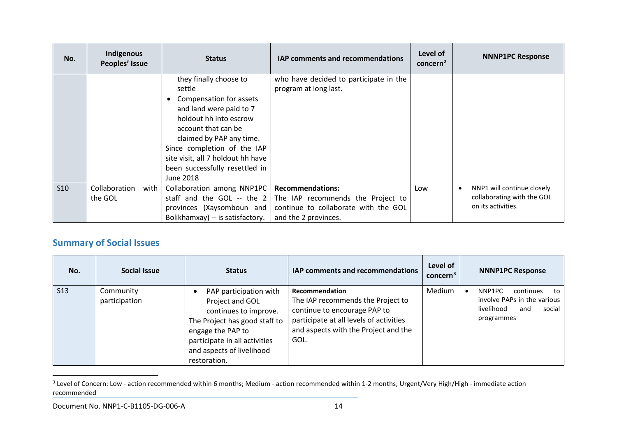<span id="page-14-0"></span>

| No.        | Indigenous<br>Peoples' Issue | <b>Status</b>                                                                                                                                                                                                                                                                          | <b>IAP comments and recommendations</b>                         | Level of<br>concern <sup>2</sup> | <b>NNNP1PC Response</b>                          |
|------------|------------------------------|----------------------------------------------------------------------------------------------------------------------------------------------------------------------------------------------------------------------------------------------------------------------------------------|-----------------------------------------------------------------|----------------------------------|--------------------------------------------------|
|            |                              | they finally choose to<br>settle<br>Compensation for assets<br>and land were paid to 7<br>holdout hh into escrow<br>account that can be<br>claimed by PAP any time.<br>Since completion of the IAP<br>site visit, all 7 holdout hh have<br>been successfully resettled in<br>June 2018 | who have decided to participate in the<br>program at long last. |                                  |                                                  |
| <b>S10</b> | Collaboration<br>with        | Collaboration among NNP1PC                                                                                                                                                                                                                                                             | <b>Recommendations:</b>                                         | Low                              | NNP1 will continue closely<br>$\bullet$          |
|            | the GOL                      | staff and the GOL -- the $2$                                                                                                                                                                                                                                                           | The IAP recommends the Project to                               |                                  | collaborating with the GOL<br>on its activities. |
|            |                              | provinces (Xaysomboun and<br>Bolikhamxay) -- is satisfactory.                                                                                                                                                                                                                          | continue to collaborate with the GOL<br>and the 2 provinces.    |                                  |                                                  |

# **Summary of Social Issues**

| No.        | Social Issue               | <b>Status</b>                                                                                                                                                                                          | IAP comments and recommendations                                                                                                                                               | Level of<br>concern <sup>3</sup> | <b>NNNP1PC Response</b>                                                                               |
|------------|----------------------------|--------------------------------------------------------------------------------------------------------------------------------------------------------------------------------------------------------|--------------------------------------------------------------------------------------------------------------------------------------------------------------------------------|----------------------------------|-------------------------------------------------------------------------------------------------------|
| <b>S13</b> | Community<br>participation | PAP participation with<br>Project and GOL<br>continues to improve.<br>The Project has good staff to<br>engage the PAP to<br>participate in all activities<br>and aspects of livelihood<br>restoration. | Recommendation<br>The IAP recommends the Project to<br>continue to encourage PAP to<br>participate at all levels of activities<br>and aspects with the Project and the<br>GOL. | Medium                           | NNP1PC<br>continues<br>to<br>involve PAPs in the various<br>livelihood<br>social<br>and<br>programmes |

<sup>&</sup>lt;sup>3</sup> Level of Concern: Low - action recommended within 6 months; Medium - action recommended within 1-2 months; Urgent/Very High/High - immediate action recommended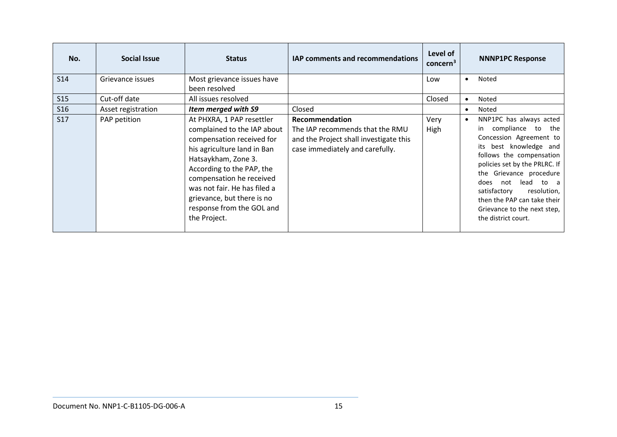| No.             | Social Issue       | <b>Status</b>                                                                                                                                                                                                                                                                                                   | IAP comments and recommendations                                                                                                      | Level of<br>concern <sup>3</sup> |           | <b>NNNP1PC Response</b>                                                                                                                                                                                                                                                                                                                               |
|-----------------|--------------------|-----------------------------------------------------------------------------------------------------------------------------------------------------------------------------------------------------------------------------------------------------------------------------------------------------------------|---------------------------------------------------------------------------------------------------------------------------------------|----------------------------------|-----------|-------------------------------------------------------------------------------------------------------------------------------------------------------------------------------------------------------------------------------------------------------------------------------------------------------------------------------------------------------|
| S <sub>14</sub> | Grievance issues   | Most grievance issues have<br>been resolved                                                                                                                                                                                                                                                                     |                                                                                                                                       | Low                              | $\bullet$ | <b>Noted</b>                                                                                                                                                                                                                                                                                                                                          |
| S15             | Cut-off date       | All issues resolved                                                                                                                                                                                                                                                                                             |                                                                                                                                       | Closed                           | $\bullet$ | <b>Noted</b>                                                                                                                                                                                                                                                                                                                                          |
| <b>S16</b>      | Asset registration | Item merged with S9                                                                                                                                                                                                                                                                                             | Closed                                                                                                                                |                                  | $\bullet$ | <b>Noted</b>                                                                                                                                                                                                                                                                                                                                          |
| <b>S17</b>      | PAP petition       | At PHXRA, 1 PAP resettler<br>complained to the IAP about<br>compensation received for<br>his agriculture land in Ban<br>Hatsaykham, Zone 3.<br>According to the PAP, the<br>compensation he received<br>was not fair. He has filed a<br>grievance, but there is no<br>response from the GOL and<br>the Project. | <b>Recommendation</b><br>The IAP recommends that the RMU<br>and the Project shall investigate this<br>case immediately and carefully. | Very<br>High                     | $\bullet$ | NNP1PC has always acted<br>compliance to the<br>in l<br>Concession Agreement to<br>best knowledge and<br>its<br>follows the compensation  <br>policies set by the PRLRC. If<br>the Grievance procedure  <br>not lead to a<br>does<br>resolution,<br>satisfactory<br>then the PAP can take their<br>Grievance to the next step,<br>the district court. |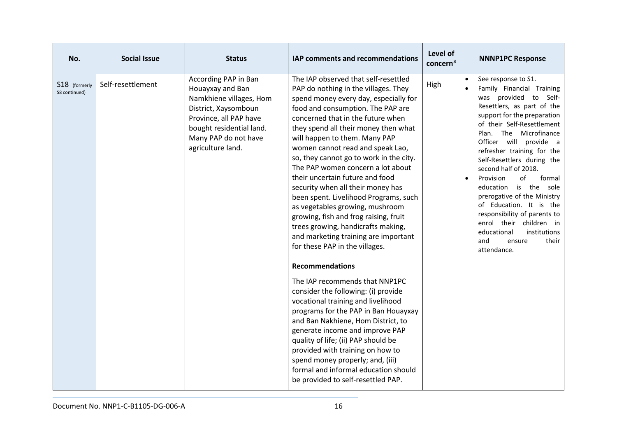| No.                            | <b>Social Issue</b> | <b>Status</b>                                                                                                                                                                                  | IAP comments and recommendations                                                                                                                                                                                                                                                                                                                                                                                                                                                                                                                                                                                                                                                                                                                                                                                                                                                                                                                                                                                                                                                                                                                                 | Level of<br>concern <sup>3</sup> | <b>NNNP1PC Response</b>                                                                                                                                                                                                                                                                                                                                                                                                                                                                                                                                                                            |
|--------------------------------|---------------------|------------------------------------------------------------------------------------------------------------------------------------------------------------------------------------------------|------------------------------------------------------------------------------------------------------------------------------------------------------------------------------------------------------------------------------------------------------------------------------------------------------------------------------------------------------------------------------------------------------------------------------------------------------------------------------------------------------------------------------------------------------------------------------------------------------------------------------------------------------------------------------------------------------------------------------------------------------------------------------------------------------------------------------------------------------------------------------------------------------------------------------------------------------------------------------------------------------------------------------------------------------------------------------------------------------------------------------------------------------------------|----------------------------------|----------------------------------------------------------------------------------------------------------------------------------------------------------------------------------------------------------------------------------------------------------------------------------------------------------------------------------------------------------------------------------------------------------------------------------------------------------------------------------------------------------------------------------------------------------------------------------------------------|
| S18 (formerly<br>S8 continued) | Self-resettlement   | According PAP in Ban<br>Houayxay and Ban<br>Namkhiene villages, Hom<br>District, Xaysomboun<br>Province, all PAP have<br>bought residential land.<br>Many PAP do not have<br>agriculture land. | The IAP observed that self-resettled<br>PAP do nothing in the villages. They<br>spend money every day, especially for<br>food and consumption. The PAP are<br>concerned that in the future when<br>they spend all their money then what<br>will happen to them. Many PAP<br>women cannot read and speak Lao,<br>so, they cannot go to work in the city.<br>The PAP women concern a lot about<br>their uncertain future and food<br>security when all their money has<br>been spent. Livelihood Programs, such<br>as vegetables growing, mushroom<br>growing, fish and frog raising, fruit<br>trees growing, handicrafts making,<br>and marketing training are important<br>for these PAP in the villages.<br><b>Recommendations</b><br>The IAP recommends that NNP1PC<br>consider the following: (i) provide<br>vocational training and livelihood<br>programs for the PAP in Ban Houayxay<br>and Ban Nakhiene, Hom District, to<br>generate income and improve PAP<br>quality of life; (ii) PAP should be<br>provided with training on how to<br>spend money properly; and, (iii)<br>formal and informal education should<br>be provided to self-resettled PAP. | High                             | See response to S1.<br>$\bullet$<br>Family Financial Training<br>was provided to Self-<br>Resettlers, as part of the<br>support for the preparation<br>of their Self-Resettlement<br>Plan. The Microfinance<br>Officer<br>will provide a<br>refresher training for the<br>Self-Resettlers during the<br>second half of 2018.<br>Provision<br>of<br>formal<br>$\bullet$<br>is the<br>education<br>sole<br>prerogative of the Ministry<br>of Education. It is the<br>responsibility of parents to<br>enrol their children in<br>educational<br>institutions<br>and<br>their<br>ensure<br>attendance. |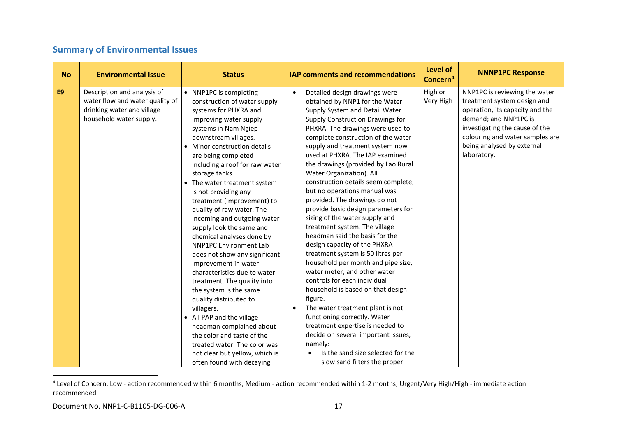# <span id="page-17-0"></span>**Summary of Environmental Issues**

| <b>No</b>      | <b>Environmental Issue</b>                                                                                              | <b>Status</b>                                                                                                                                                                                                                                                                                                                                                                                                                                                                                                                                                                                                                                                                                                                                                                                                                                                                                               | <b>IAP comments and recommendations</b>                                                                                                                                                                                                                                                                                                                                                                                                                                                                                                                                                                                                                                                                                                                                                                                                                                                                                                                                                                                                                                             | Level of<br>Concern <sup>4</sup> | <b>NNNP1PC Response</b>                                                                                                                                                                                                                    |
|----------------|-------------------------------------------------------------------------------------------------------------------------|-------------------------------------------------------------------------------------------------------------------------------------------------------------------------------------------------------------------------------------------------------------------------------------------------------------------------------------------------------------------------------------------------------------------------------------------------------------------------------------------------------------------------------------------------------------------------------------------------------------------------------------------------------------------------------------------------------------------------------------------------------------------------------------------------------------------------------------------------------------------------------------------------------------|-------------------------------------------------------------------------------------------------------------------------------------------------------------------------------------------------------------------------------------------------------------------------------------------------------------------------------------------------------------------------------------------------------------------------------------------------------------------------------------------------------------------------------------------------------------------------------------------------------------------------------------------------------------------------------------------------------------------------------------------------------------------------------------------------------------------------------------------------------------------------------------------------------------------------------------------------------------------------------------------------------------------------------------------------------------------------------------|----------------------------------|--------------------------------------------------------------------------------------------------------------------------------------------------------------------------------------------------------------------------------------------|
| E <sub>9</sub> | Description and analysis of<br>water flow and water quality of<br>drinking water and village<br>household water supply. | • NNP1PC is completing<br>construction of water supply<br>systems for PHXRA and<br>improving water supply<br>systems in Nam Ngiep<br>downstream villages.<br>Minor construction details<br>$\bullet$<br>are being completed<br>including a roof for raw water<br>storage tanks.<br>• The water treatment system<br>is not providing any<br>treatment (improvement) to<br>quality of raw water. The<br>incoming and outgoing water<br>supply look the same and<br>chemical analyses done by<br><b>NNP1PC Environment Lab</b><br>does not show any significant<br>improvement in water<br>characteristics due to water<br>treatment. The quality into<br>the system is the same<br>quality distributed to<br>villagers.<br>• All PAP and the village<br>headman complained about<br>the color and taste of the<br>treated water. The color was<br>not clear but yellow, which is<br>often found with decaying | Detailed design drawings were<br>$\bullet$<br>obtained by NNP1 for the Water<br>Supply System and Detail Water<br>Supply Construction Drawings for<br>PHXRA. The drawings were used to<br>complete construction of the water<br>supply and treatment system now<br>used at PHXRA. The IAP examined<br>the drawings (provided by Lao Rural<br>Water Organization). All<br>construction details seem complete,<br>but no operations manual was<br>provided. The drawings do not<br>provide basic design parameters for<br>sizing of the water supply and<br>treatment system. The village<br>headman said the basis for the<br>design capacity of the PHXRA<br>treatment system is 50 litres per<br>household per month and pipe size,<br>water meter, and other water<br>controls for each individual<br>household is based on that design<br>figure.<br>The water treatment plant is not<br>functioning correctly. Water<br>treatment expertise is needed to<br>decide on several important issues,<br>namely:<br>Is the sand size selected for the<br>slow sand filters the proper | High or<br>Very High             | NNP1PC is reviewing the water<br>treatment system design and<br>operation, its capacity and the<br>demand; and NNP1PC is<br>investigating the cause of the<br>colouring and water samples are<br>being analysed by external<br>laboratory. |

<sup>&</sup>lt;sup>4</sup> Level of Concern: Low - action recommended within 6 months; Medium - action recommended within 1-2 months; Urgent/Very High/High - immediate action recommended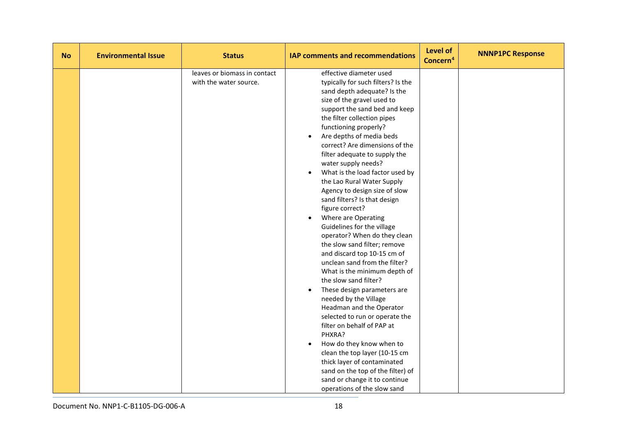| <b>No</b> | <b>Environmental Issue</b> | <b>Status</b>                                          | <b>IAP comments and recommendations</b>                                                                                                                                                                                                                                                                                                                                                                                                                                                                                                                                                                                                                                                                                                                                                                                                                                                                                                                                                                                                                                                                                                                                      | Level of<br>Concern <sup>4</sup> | <b>NNNP1PC Response</b> |
|-----------|----------------------------|--------------------------------------------------------|------------------------------------------------------------------------------------------------------------------------------------------------------------------------------------------------------------------------------------------------------------------------------------------------------------------------------------------------------------------------------------------------------------------------------------------------------------------------------------------------------------------------------------------------------------------------------------------------------------------------------------------------------------------------------------------------------------------------------------------------------------------------------------------------------------------------------------------------------------------------------------------------------------------------------------------------------------------------------------------------------------------------------------------------------------------------------------------------------------------------------------------------------------------------------|----------------------------------|-------------------------|
|           |                            | leaves or biomass in contact<br>with the water source. | effective diameter used<br>typically for such filters? Is the<br>sand depth adequate? Is the<br>size of the gravel used to<br>support the sand bed and keep<br>the filter collection pipes<br>functioning properly?<br>Are depths of media beds<br>$\bullet$<br>correct? Are dimensions of the<br>filter adequate to supply the<br>water supply needs?<br>What is the load factor used by<br>$\bullet$<br>the Lao Rural Water Supply<br>Agency to design size of slow<br>sand filters? Is that design<br>figure correct?<br>Where are Operating<br>$\bullet$<br>Guidelines for the village<br>operator? When do they clean<br>the slow sand filter; remove<br>and discard top 10-15 cm of<br>unclean sand from the filter?<br>What is the minimum depth of<br>the slow sand filter?<br>These design parameters are<br>$\bullet$<br>needed by the Village<br>Headman and the Operator<br>selected to run or operate the<br>filter on behalf of PAP at<br>PHXRA?<br>How do they know when to<br>$\bullet$<br>clean the top layer (10-15 cm<br>thick layer of contaminated<br>sand on the top of the filter) of<br>sand or change it to continue<br>operations of the slow sand |                                  |                         |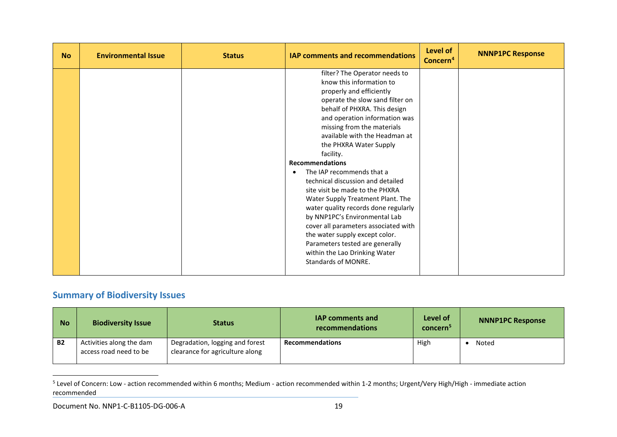<span id="page-19-0"></span>

| <b>No</b> | <b>Environmental Issue</b> | <b>Status</b> | IAP comments and recommendations                                                                                                                                                                                                                                                                                                                                                                                                                                                                                                                                                                                                                                                                        | Level of<br>Concern <sup>4</sup> | <b>NNNP1PC Response</b> |
|-----------|----------------------------|---------------|---------------------------------------------------------------------------------------------------------------------------------------------------------------------------------------------------------------------------------------------------------------------------------------------------------------------------------------------------------------------------------------------------------------------------------------------------------------------------------------------------------------------------------------------------------------------------------------------------------------------------------------------------------------------------------------------------------|----------------------------------|-------------------------|
|           |                            |               | filter? The Operator needs to<br>know this information to<br>properly and efficiently<br>operate the slow sand filter on<br>behalf of PHXRA. This design<br>and operation information was<br>missing from the materials<br>available with the Headman at<br>the PHXRA Water Supply<br>facility.<br><b>Recommendations</b><br>The IAP recommends that a<br>$\bullet$<br>technical discussion and detailed<br>site visit be made to the PHXRA<br>Water Supply Treatment Plant. The<br>water quality records done regularly<br>by NNP1PC's Environmental Lab<br>cover all parameters associated with<br>the water supply except color.<br>Parameters tested are generally<br>within the Lao Drinking Water |                                  |                         |
|           |                            |               | <b>Standards of MONRE.</b>                                                                                                                                                                                                                                                                                                                                                                                                                                                                                                                                                                                                                                                                              |                                  |                         |

# **Summary of Biodiversity Issues**

| <b>No</b> | <b>Biodiversity Issue</b>                          | <b>Status</b>                                                      | <b>IAP comments and</b><br>recommendations | Level of<br>concern <sup>5</sup> | <b>NNNP1PC Response</b> |
|-----------|----------------------------------------------------|--------------------------------------------------------------------|--------------------------------------------|----------------------------------|-------------------------|
| <b>B2</b> | Activities along the dam<br>access road need to be | Degradation, logging and forest<br>clearance for agriculture along | <b>Recommendations</b>                     | High                             | Noted                   |

<sup>&</sup>lt;sup>5</sup> Level of Concern: Low - action recommended within 6 months; Medium - action recommended within 1-2 months; Urgent/Very High/High - immediate action recommended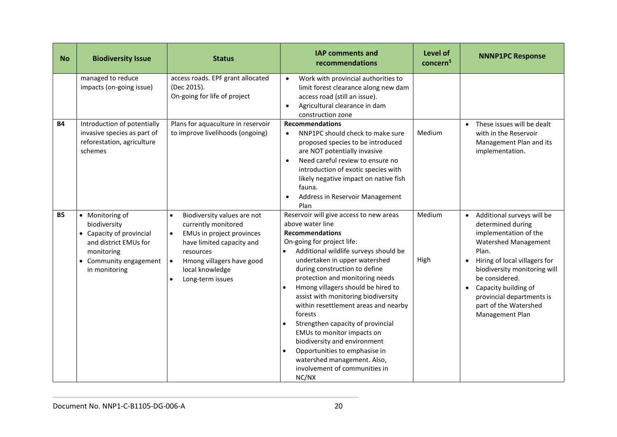| <b>No</b> | <b>Biodiversity Issue</b>                                                                                                                     | <b>Status</b>                                                                                                                                                                                              | <b>IAP comments and</b><br>recommendations                                                                                                                                                                                                                                                                                                                                                                                                                                                                                                                                                                     | Level of<br>concern <sup>5</sup> | <b>NNNP1PC Response</b>                                                                                                                                                                                                                                                                                                              |
|-----------|-----------------------------------------------------------------------------------------------------------------------------------------------|------------------------------------------------------------------------------------------------------------------------------------------------------------------------------------------------------------|----------------------------------------------------------------------------------------------------------------------------------------------------------------------------------------------------------------------------------------------------------------------------------------------------------------------------------------------------------------------------------------------------------------------------------------------------------------------------------------------------------------------------------------------------------------------------------------------------------------|----------------------------------|--------------------------------------------------------------------------------------------------------------------------------------------------------------------------------------------------------------------------------------------------------------------------------------------------------------------------------------|
|           | managed to reduce<br>impacts (on-going issue)                                                                                                 | access roads. EPF grant allocated<br>(Dec 2015).<br>On-going for life of project                                                                                                                           | Work with provincial authorities to<br>$\bullet$<br>limit forest clearance along new dam<br>access road (still an issue).<br>Agricultural clearance in dam<br>$\bullet$<br>construction zone                                                                                                                                                                                                                                                                                                                                                                                                                   |                                  |                                                                                                                                                                                                                                                                                                                                      |
| <b>B4</b> | Introduction of potentially<br>invasive species as part of<br>reforestation, agriculture<br>schemes                                           | Plans for aquaculture in reservoir<br>to improve livelihoods (ongoing)                                                                                                                                     | <b>Recommendations</b><br>NNP1PC should check to make sure<br>$\bullet$<br>proposed species to be introduced<br>are NOT potentially invasive<br>Need careful review to ensure no<br>$\bullet$<br>introduction of exotic species with<br>likely negative impact on native fish<br>fauna.<br>Address in Reservoir Management<br>Plan                                                                                                                                                                                                                                                                             | Medium                           | These issues will be dealt<br>$\bullet$<br>with in the Reservoir<br>Management Plan and its<br>implementation.                                                                                                                                                                                                                       |
| <b>B5</b> | • Monitoring of<br>biodiversity<br>• Capacity of provincial<br>and district EMUs for<br>monitoring<br>• Community engagement<br>in monitoring | Biodiversity values are not<br>$\bullet$<br>currently monitored<br>EMUs in project provinces<br>have limited capacity and<br>resources<br>Hmong villagers have good<br>local knowledge<br>Long-term issues | Reservoir will give access to new areas<br>above water line<br><b>Recommendations</b><br>On-going for project life:<br>Additional wildlife surveys should be<br>undertaken in upper watershed<br>during construction to define<br>protection and monitoring needs<br>Hmong villagers should be hired to<br>assist with monitoring biodiversity<br>within resettlement areas and nearby<br>forests<br>Strengthen capacity of provincial<br>EMUs to monitor impacts on<br>biodiversity and environment<br>Opportunities to emphasise in<br>watershed management. Also,<br>involvement of communities in<br>NC/NX | Medium<br>High                   | Additional surveys will be<br>$\bullet$<br>determined during<br>implementation of the<br>Watershed Management<br>Plan.<br>Hiring of local villagers for<br>$\bullet$<br>biodiversity monitoring will<br>be considered.<br>Capacity building of<br>$\bullet$<br>provincial departments is<br>part of the Watershed<br>Management Plan |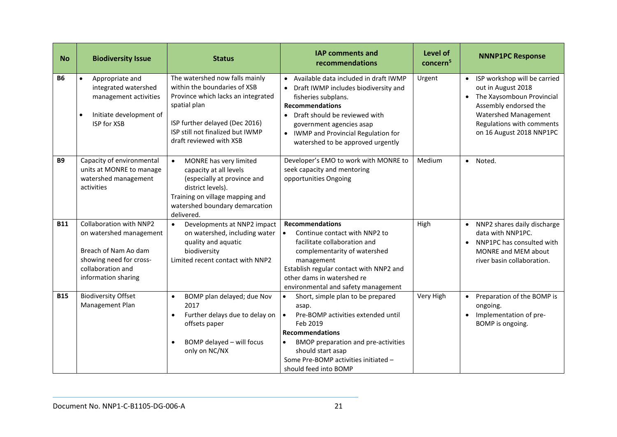| <b>No</b>  | <b>Biodiversity Issue</b>                                                                                                                         | <b>Status</b>                                                                                                                                                                                                         | <b>IAP comments and</b><br>recommendations                                                                                                                                                                                                                                                        | Level of<br>concern <sup>5</sup> | <b>NNNP1PC Response</b>                                                                                                                                                                                |
|------------|---------------------------------------------------------------------------------------------------------------------------------------------------|-----------------------------------------------------------------------------------------------------------------------------------------------------------------------------------------------------------------------|---------------------------------------------------------------------------------------------------------------------------------------------------------------------------------------------------------------------------------------------------------------------------------------------------|----------------------------------|--------------------------------------------------------------------------------------------------------------------------------------------------------------------------------------------------------|
| <b>B6</b>  | Appropriate and<br>$\bullet$<br>integrated watershed<br>management activities<br>Initiate development of<br>$\bullet$<br><b>ISP for XSB</b>       | The watershed now falls mainly<br>within the boundaries of XSB<br>Province which lacks an integrated<br>spatial plan<br>ISP further delayed (Dec 2016)<br>ISP still not finalized but IWMP<br>draft reviewed with XSB | Available data included in draft IWMP<br>Draft IWMP includes biodiversity and<br>$\bullet$<br>fisheries subplans.<br><b>Recommendations</b><br>Draft should be reviewed with<br>government agencies asap<br>• IWMP and Provincial Regulation for<br>watershed to be approved urgently             | Urgent                           | ISP workshop will be carried<br>out in August 2018<br>The Xaysomboun Provincial<br>$\bullet$<br>Assembly endorsed the<br>Watershed Management<br>Regulations with comments<br>on 16 August 2018 NNP1PC |
| <b>B9</b>  | Capacity of environmental<br>units at MONRE to manage<br>watershed management<br>activities                                                       | MONRE has very limited<br>$\bullet$<br>capacity at all levels<br>(especially at province and<br>district levels).<br>Training on village mapping and<br>watershed boundary demarcation<br>delivered.                  | Developer's EMO to work with MONRE to<br>seek capacity and mentoring<br>opportunities Ongoing                                                                                                                                                                                                     | Medium                           | · Noted.                                                                                                                                                                                               |
| <b>B11</b> | Collaboration with NNP2<br>on watershed management<br>Breach of Nam Ao dam<br>showing need for cross-<br>collaboration and<br>information sharing | Developments at NNP2 impact<br>$\bullet$<br>on watershed, including water<br>quality and aquatic<br>biodiversity<br>Limited recent contact with NNP2                                                                  | <b>Recommendations</b><br>Continue contact with NNP2 to<br>$\bullet$<br>facilitate collaboration and<br>complementarity of watershed<br>management<br>Establish regular contact with NNP2 and<br>other dams in watershed re<br>environmental and safety management                                | High                             | NNP2 shares daily discharge<br>data with NNP1PC.<br>NNP1PC has consulted with<br>$\bullet$<br>MONRE and MEM about<br>river basin collaboration.                                                        |
| <b>B15</b> | <b>Biodiversity Offset</b><br>Management Plan                                                                                                     | BOMP plan delayed; due Nov<br>$\bullet$<br>2017<br>Further delays due to delay on<br>$\bullet$<br>offsets paper<br>BOMP delayed - will focus<br>$\bullet$<br>only on NC/NX                                            | Short, simple plan to be prepared<br>$\bullet$<br>asap.<br>Pre-BOMP activities extended until<br>$\bullet$<br>Feb 2019<br><b>Recommendations</b><br><b>BMOP</b> preparation and pre-activities<br>$\bullet$<br>should start asap<br>Some Pre-BOMP activities initiated -<br>should feed into BOMP | Very High                        | Preparation of the BOMP is<br>$\bullet$<br>ongoing.<br>Implementation of pre-<br>$\bullet$<br>BOMP is ongoing.                                                                                         |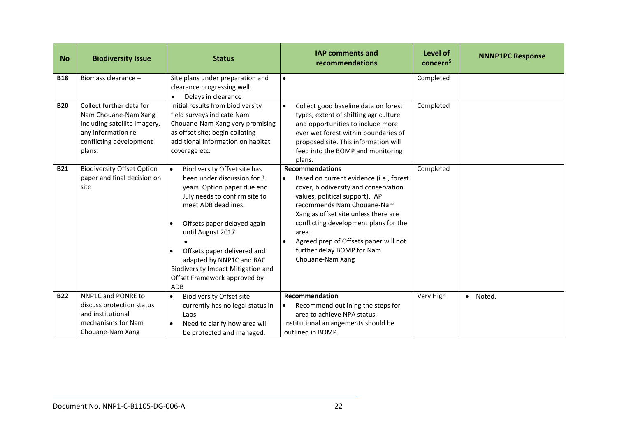| <b>No</b>  | <b>Biodiversity Issue</b>                                                                                                                   | <b>Status</b>                                                                                                                                                                                                                                                                                                                                                      | <b>IAP comments and</b><br>recommendations                                                                                                                                                                                                                                                                                                                                                | Level of<br>concern <sup>5</sup> | <b>NNNP1PC Response</b> |
|------------|---------------------------------------------------------------------------------------------------------------------------------------------|--------------------------------------------------------------------------------------------------------------------------------------------------------------------------------------------------------------------------------------------------------------------------------------------------------------------------------------------------------------------|-------------------------------------------------------------------------------------------------------------------------------------------------------------------------------------------------------------------------------------------------------------------------------------------------------------------------------------------------------------------------------------------|----------------------------------|-------------------------|
| <b>B18</b> | Biomass clearance -                                                                                                                         | Site plans under preparation and<br>clearance progressing well.<br>Delays in clearance                                                                                                                                                                                                                                                                             | $\bullet$                                                                                                                                                                                                                                                                                                                                                                                 | Completed                        |                         |
| <b>B20</b> | Collect further data for<br>Nam Chouane-Nam Xang<br>including satellite imagery,<br>any information re<br>conflicting development<br>plans. | Initial results from biodiversity<br>field surveys indicate Nam<br>Chouane-Nam Xang very promising<br>as offset site; begin collating<br>additional information on habitat<br>coverage etc.                                                                                                                                                                        | Collect good baseline data on forest<br>$\bullet$<br>types, extent of shifting agriculture<br>and opportunities to include more<br>ever wet forest within boundaries of<br>proposed site. This information will<br>feed into the BOMP and monitoring<br>plans.                                                                                                                            | Completed                        |                         |
| <b>B21</b> | <b>Biodiversity Offset Option</b><br>paper and final decision on<br>site                                                                    | Biodiversity Offset site has<br>been under discussion for 3<br>years. Option paper due end<br>July needs to confirm site to<br>meet ADB deadlines.<br>Offsets paper delayed again<br>$\bullet$<br>until August 2017<br>Offsets paper delivered and<br>adapted by NNP1C and BAC<br><b>Biodiversity Impact Mitigation and</b><br>Offset Framework approved by<br>ADB | <b>Recommendations</b><br>Based on current evidence (i.e., forest<br>$\bullet$<br>cover, biodiversity and conservation<br>values, political support), IAP<br>recommends Nam Chouane-Nam<br>Xang as offset site unless there are<br>conflicting development plans for the<br>area.<br>Agreed prep of Offsets paper will not<br>$\bullet$<br>further delay BOMP for Nam<br>Chouane-Nam Xang | Completed                        |                         |
| <b>B22</b> | NNP1C and PONRE to<br>discuss protection status<br>and institutional<br>mechanisms for Nam<br>Chouane-Nam Xang                              | <b>Biodiversity Offset site</b><br>$\bullet$<br>currently has no legal status in<br>Laos.<br>Need to clarify how area will<br>be protected and managed.                                                                                                                                                                                                            | Recommendation<br>Recommend outlining the steps for<br>$\bullet$<br>area to achieve NPA status.<br>Institutional arrangements should be<br>outlined in BOMP.                                                                                                                                                                                                                              | Very High                        | · Noted.                |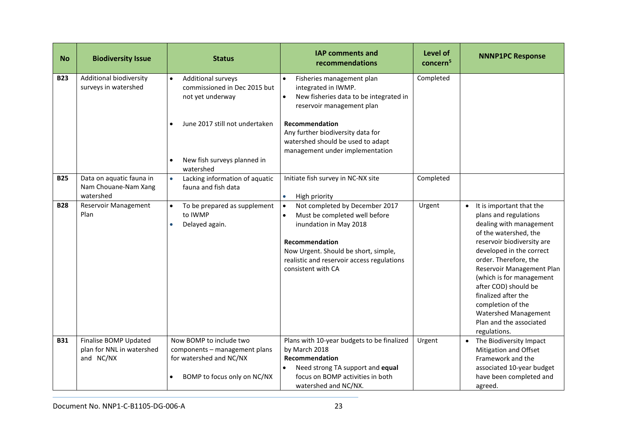| <b>No</b>  | <b>Biodiversity Issue</b>                                       | <b>Status</b>                                                                                                                                               | <b>IAP comments and</b><br>recommendations                                                                                                                                                                                                                                              | Level of<br>concern <sup>5</sup> | <b>NNNP1PC Response</b>                                                                                                                                                                                                                                                                                                                                                                  |
|------------|-----------------------------------------------------------------|-------------------------------------------------------------------------------------------------------------------------------------------------------------|-----------------------------------------------------------------------------------------------------------------------------------------------------------------------------------------------------------------------------------------------------------------------------------------|----------------------------------|------------------------------------------------------------------------------------------------------------------------------------------------------------------------------------------------------------------------------------------------------------------------------------------------------------------------------------------------------------------------------------------|
| <b>B23</b> | Additional biodiversity<br>surveys in watershed                 | <b>Additional surveys</b><br>commissioned in Dec 2015 but<br>not yet underway<br>June 2017 still not undertaken<br>New fish surveys planned in<br>watershed | Fisheries management plan<br>$\bullet$<br>integrated in IWMP.<br>New fisheries data to be integrated in<br>$\bullet$<br>reservoir management plan<br><b>Recommendation</b><br>Any further biodiversity data for<br>watershed should be used to adapt<br>management under implementation | Completed                        |                                                                                                                                                                                                                                                                                                                                                                                          |
| <b>B25</b> | Data on aquatic fauna in<br>Nam Chouane-Nam Xang<br>watershed   | Lacking information of aquatic<br>fauna and fish data                                                                                                       | Initiate fish survey in NC-NX site<br>High priority<br>$\bullet$                                                                                                                                                                                                                        | Completed                        |                                                                                                                                                                                                                                                                                                                                                                                          |
| <b>B28</b> | Reservoir Management<br>Plan                                    | To be prepared as supplement<br>to IWMP<br>Delayed again.<br>$\bullet$                                                                                      | Not completed by December 2017<br>Must be completed well before<br>inundation in May 2018<br>Recommendation<br>Now Urgent. Should be short, simple,<br>realistic and reservoir access regulations<br>consistent with CA                                                                 | Urgent                           | It is important that the<br>plans and regulations<br>dealing with management<br>of the watershed, the<br>reservoir biodiversity are<br>developed in the correct<br>order. Therefore, the<br>Reservoir Management Plan<br>(which is for management<br>after COD) should be<br>finalized after the<br>completion of the<br>Watershed Management<br>Plan and the associated<br>regulations. |
| <b>B31</b> | Finalise BOMP Updated<br>plan for NNL in watershed<br>and NC/NX | Now BOMP to include two<br>components - management plans<br>for watershed and NC/NX<br>BOMP to focus only on NC/NX                                          | Plans with 10-year budgets to be finalized<br>by March 2018<br>Recommendation<br>Need strong TA support and equal<br>$\bullet$<br>focus on BOMP activities in both<br>watershed and NC/NX.                                                                                              | Urgent                           | The Biodiversity Impact<br>Mitigation and Offset<br>Framework and the<br>associated 10-year budget<br>have been completed and<br>agreed.                                                                                                                                                                                                                                                 |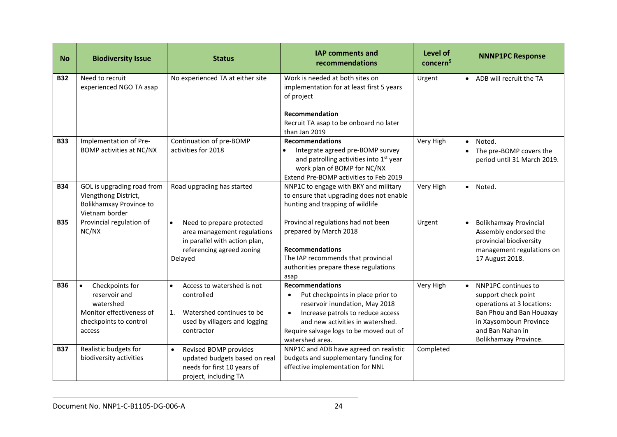| <b>No</b>  | <b>Biodiversity Issue</b>                                                                                                  | <b>Status</b>                                                                                                                                  | <b>IAP comments and</b><br>recommendations                                                                                                                                                                                                                     | Level of<br>concern <sup>5</sup> | <b>NNNP1PC Response</b>                                                                                                                                                                  |
|------------|----------------------------------------------------------------------------------------------------------------------------|------------------------------------------------------------------------------------------------------------------------------------------------|----------------------------------------------------------------------------------------------------------------------------------------------------------------------------------------------------------------------------------------------------------------|----------------------------------|------------------------------------------------------------------------------------------------------------------------------------------------------------------------------------------|
| <b>B32</b> | Need to recruit<br>experienced NGO TA asap                                                                                 | No experienced TA at either site                                                                                                               | Work is needed at both sites on<br>implementation for at least first 5 years<br>of project<br>Recommendation<br>Recruit TA asap to be onboard no later<br>than Jan 2019                                                                                        | Urgent                           | ADB will recruit the TA<br>$\bullet$                                                                                                                                                     |
| <b>B33</b> | Implementation of Pre-<br><b>BOMP</b> activities at NC/NX                                                                  | Continuation of pre-BOMP<br>activities for 2018                                                                                                | <b>Recommendations</b><br>Integrate agreed pre-BOMP survey<br>and patrolling activities into 1 <sup>st</sup> year<br>work plan of BOMP for NC/NX<br>Extend Pre-BOMP activities to Feb 2019                                                                     | Very High                        | Noted.<br>$\bullet$<br>The pre-BOMP covers the<br>$\bullet$<br>period until 31 March 2019.                                                                                               |
| <b>B34</b> | GOL is upgrading road from<br>Viengthong District,<br>Bolikhamxay Province to<br>Vietnam border                            | Road upgrading has started                                                                                                                     | NNP1C to engage with BKY and military<br>to ensure that upgrading does not enable<br>hunting and trapping of wildlife                                                                                                                                          | Very High                        | · Noted.                                                                                                                                                                                 |
| <b>B35</b> | Provincial regulation of<br>NC/NX                                                                                          | Need to prepare protected<br>$\bullet$<br>area management regulations<br>in parallel with action plan,<br>referencing agreed zoning<br>Delayed | Provincial regulations had not been<br>prepared by March 2018<br><b>Recommendations</b><br>The IAP recommends that provincial<br>authorities prepare these regulations<br>asap                                                                                 | Urgent                           | <b>Bolikhamxay Provincial</b><br>$\bullet$<br>Assembly endorsed the<br>provincial biodiversity<br>management regulations on<br>17 August 2018.                                           |
| <b>B36</b> | Checkpoints for<br>$\bullet$<br>reservoir and<br>watershed<br>Monitor effectiveness of<br>checkpoints to control<br>access | Access to watershed is not<br>$\bullet$<br>controlled<br>Watershed continues to be<br>1.<br>used by villagers and logging<br>contractor        | <b>Recommendations</b><br>Put checkpoints in place prior to<br>$\bullet$<br>reservoir inundation, May 2018<br>Increase patrols to reduce access<br>$\bullet$<br>and new activities in watershed.<br>Require salvage logs to be moved out of<br>watershed area. | Very High                        | NNP1PC continues to<br>$\bullet$<br>support check point<br>operations at 3 locations:<br>Ban Phou and Ban Houaxay<br>in Xaysomboun Province<br>and Ban Nahan in<br>Bolikhamxay Province. |
| <b>B37</b> | Realistic budgets for<br>biodiversity activities                                                                           | Revised BOMP provides<br>$\bullet$<br>updated budgets based on real<br>needs for first 10 years of<br>project, including TA                    | NNP1C and ADB have agreed on realistic<br>budgets and supplementary funding for<br>effective implementation for NNL                                                                                                                                            | Completed                        |                                                                                                                                                                                          |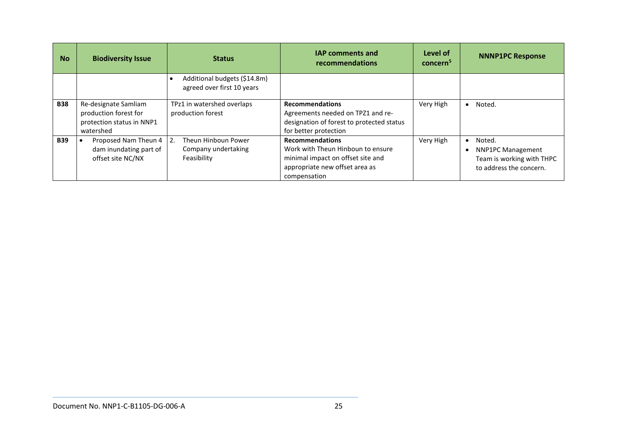| <b>No</b>  | <b>Biodiversity Issue</b>                                                               | <b>Status</b>                                              | <b>IAP comments and</b><br>recommendations                                                                                                         | Level of<br>concern <sup>5</sup> | <b>NNNP1PC Response</b>                                                                    |
|------------|-----------------------------------------------------------------------------------------|------------------------------------------------------------|----------------------------------------------------------------------------------------------------------------------------------------------------|----------------------------------|--------------------------------------------------------------------------------------------|
|            |                                                                                         | Additional budgets (\$14.8m)<br>agreed over first 10 years |                                                                                                                                                    |                                  |                                                                                            |
| <b>B38</b> | Re-designate Samliam<br>production forest for<br>protection status in NNP1<br>watershed | TPz1 in watershed overlaps<br>production forest            | <b>Recommendations</b><br>Agreements needed on TPZ1 and re-<br>designation of forest to protected status<br>for better protection                  | Very High                        | Noted.<br>$\bullet$                                                                        |
| <b>B39</b> | Proposed Nam Theun 4<br>dam inundating part of<br>offset site NC/NX                     | Theun Hinboun Power<br>Company undertaking<br>Feasibility  | <b>Recommendations</b><br>Work with Theun Hinboun to ensure<br>minimal impact on offset site and<br>appropriate new offset area as<br>compensation | Very High                        | Noted.<br><b>NNP1PC Management</b><br>Team is working with THPC<br>to address the concern. |